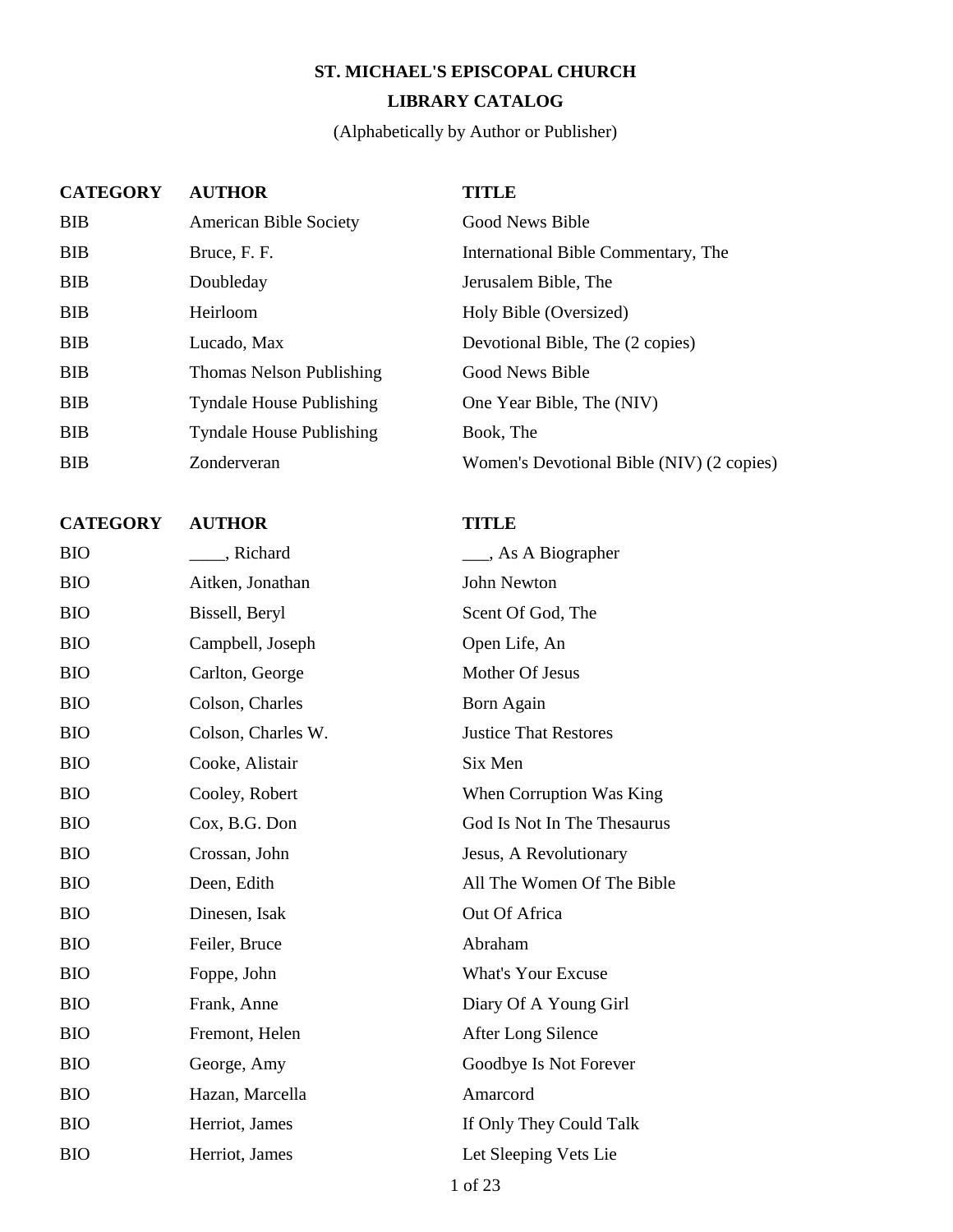#### **ST. MICHAEL'S EPISCOPAL CHURCH**

#### **LIBRARY CATALOG**

(Alphabetically by Author or Publisher)

| <b>CATEGORY</b> | <b>AUTHOR</b>                   | <b>TITLE</b>                              |
|-----------------|---------------------------------|-------------------------------------------|
| <b>BIB</b>      | <b>American Bible Society</b>   | Good News Bible                           |
| <b>BIB</b>      | Bruce, F. F.                    | International Bible Commentary, The       |
| <b>BIB</b>      | Doubleday                       | Jerusalem Bible, The                      |
| <b>BIB</b>      | Heirloom                        | Holy Bible (Oversized)                    |
| <b>BIB</b>      | Lucado, Max                     | Devotional Bible, The (2 copies)          |
| <b>BIB</b>      | Thomas Nelson Publishing        | Good News Bible                           |
| <b>BIB</b>      | <b>Tyndale House Publishing</b> | One Year Bible, The (NIV)                 |
| <b>BIB</b>      | <b>Tyndale House Publishing</b> | Book, The                                 |
| <b>BIB</b>      | Zonderveran                     | Women's Devotional Bible (NIV) (2 copies) |
|                 |                                 |                                           |

| <b>BIO</b> | _, Richard         | <sub>--</sub> , As A Biographer |
|------------|--------------------|---------------------------------|
| <b>BIO</b> | Aitken, Jonathan   | <b>John Newton</b>              |
| <b>BIO</b> | Bissell, Beryl     | Scent Of God, The               |
| <b>BIO</b> | Campbell, Joseph   | Open Life, An                   |
| <b>BIO</b> | Carlton, George    | Mother Of Jesus                 |
| <b>BIO</b> | Colson, Charles    | Born Again                      |
| <b>BIO</b> | Colson, Charles W. | <b>Justice That Restores</b>    |
| <b>BIO</b> | Cooke, Alistair    | Six Men                         |
| <b>BIO</b> | Cooley, Robert     | When Corruption Was King        |
| <b>BIO</b> | Cox, B.G. Don      | God Is Not In The Thesaurus     |
| <b>BIO</b> | Crossan, John      | Jesus, A Revolutionary          |
| <b>BIO</b> | Deen, Edith        | All The Women Of The Bible      |
| <b>BIO</b> | Dinesen, Isak      | Out Of Africa                   |
| <b>BIO</b> | Feiler, Bruce      | Abraham                         |
| <b>BIO</b> | Foppe, John        | <b>What's Your Excuse</b>       |
| <b>BIO</b> | Frank, Anne        | Diary Of A Young Girl           |
| <b>BIO</b> | Fremont, Helen     | After Long Silence              |
| <b>BIO</b> | George, Amy        | Goodbye Is Not Forever          |
| <b>BIO</b> | Hazan, Marcella    | Amarcord                        |
| <b>BIO</b> | Herriot, James     | If Only They Could Talk         |
| <b>BIO</b> | Herriot, James     | Let Sleeping Vets Lie           |
|            |                    | 1 of 23                         |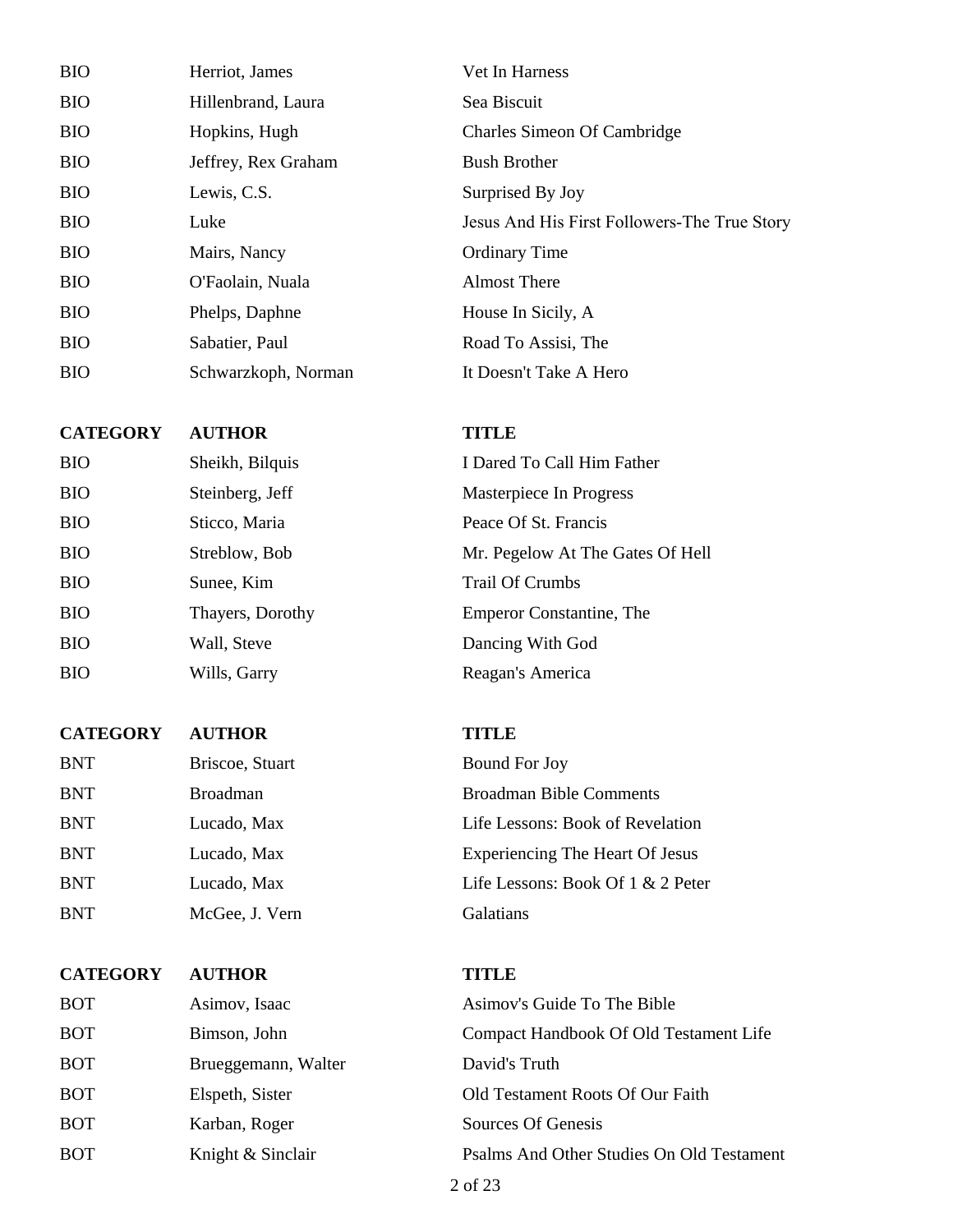| <b>BIO</b> | Herriot, James      | Vet In Harness                               |
|------------|---------------------|----------------------------------------------|
| <b>BIO</b> | Hillenbrand, Laura  | Sea Biscuit                                  |
| <b>BIO</b> | Hopkins, Hugh       | <b>Charles Simeon Of Cambridge</b>           |
| <b>BIO</b> | Jeffrey, Rex Graham | <b>Bush Brother</b>                          |
| <b>BIO</b> | Lewis, C.S.         | Surprised By Joy                             |
| <b>BIO</b> | Luke                | Jesus And His First Followers-The True Story |
| <b>BIO</b> | Mairs, Nancy        | <b>Ordinary Time</b>                         |
| <b>BIO</b> | O'Faolain, Nuala    | <b>Almost There</b>                          |
| <b>BIO</b> | Phelps, Daphne      | House In Sicily, A                           |
| <b>BIO</b> | Sabatier, Paul      | Road To Assisi, The                          |
| <b>BIO</b> | Schwarzkoph, Norman | It Doesn't Take A Hero                       |
|            |                     |                                              |

| вю         | Sheikh, Bilguis  |
|------------|------------------|
| <b>BIO</b> | Steinberg, Jeff  |
| BIO        | Sticco, Maria    |
| BIO        | Streblow, Bob    |
| <b>BIO</b> | Sunee, Kim       |
| BIO        | Thayers, Dorothy |
| <b>BIO</b> | Wall, Steve      |
| BIO        | Wills, Garry     |

#### **CATEGORY AUTHOR TITLE**

| <b>BNT</b> | Briscoe, Stuart |
|------------|-----------------|
| <b>BNT</b> | <b>Broadman</b> |
| <b>BNT</b> | Lucado, Max     |
| <b>BNT</b> | Lucado, Max     |
| <b>BNT</b> | Lucado, Max     |
| <b>BNT</b> | McGee, J. Vern  |

#### **CATEGORY AUTHOR TITLE**

| BOT:       | Asimov, Isaac      |
|------------|--------------------|
| <b>BOT</b> | Bimson, John       |
| <b>BOT</b> | Brueggemann, Walte |
| <b>BOT</b> | Elspeth, Sister    |
| <b>BOT</b> | Karban, Roger      |
| <b>BOT</b> | Knight & Sinclair  |
|            |                    |

BIO Sheikh, Bilquis I Dared To Call Him Father Masterpiece In Progress Peace Of St. Francis Mr. Pegelow At The Gates Of Hell Trail Of Crumbs Emperor Constantine, The Dancing With God Reagan's America

Bound For Joy Broadman Bible Comments Life Lessons: Book of Revelation Experiencing The Heart Of Jesus Life Lessons: Book Of  $1 \& 2$  Peter **Galatians** 

BOT Asimov, Isaac Asimov's Guide To The Bible Compact Handbook Of Old Testament Life Both Bavid's Truth Old Testament Roots Of Our Faith Sources Of Genesis Psalms And Other Studies On Old Testament 2 of 23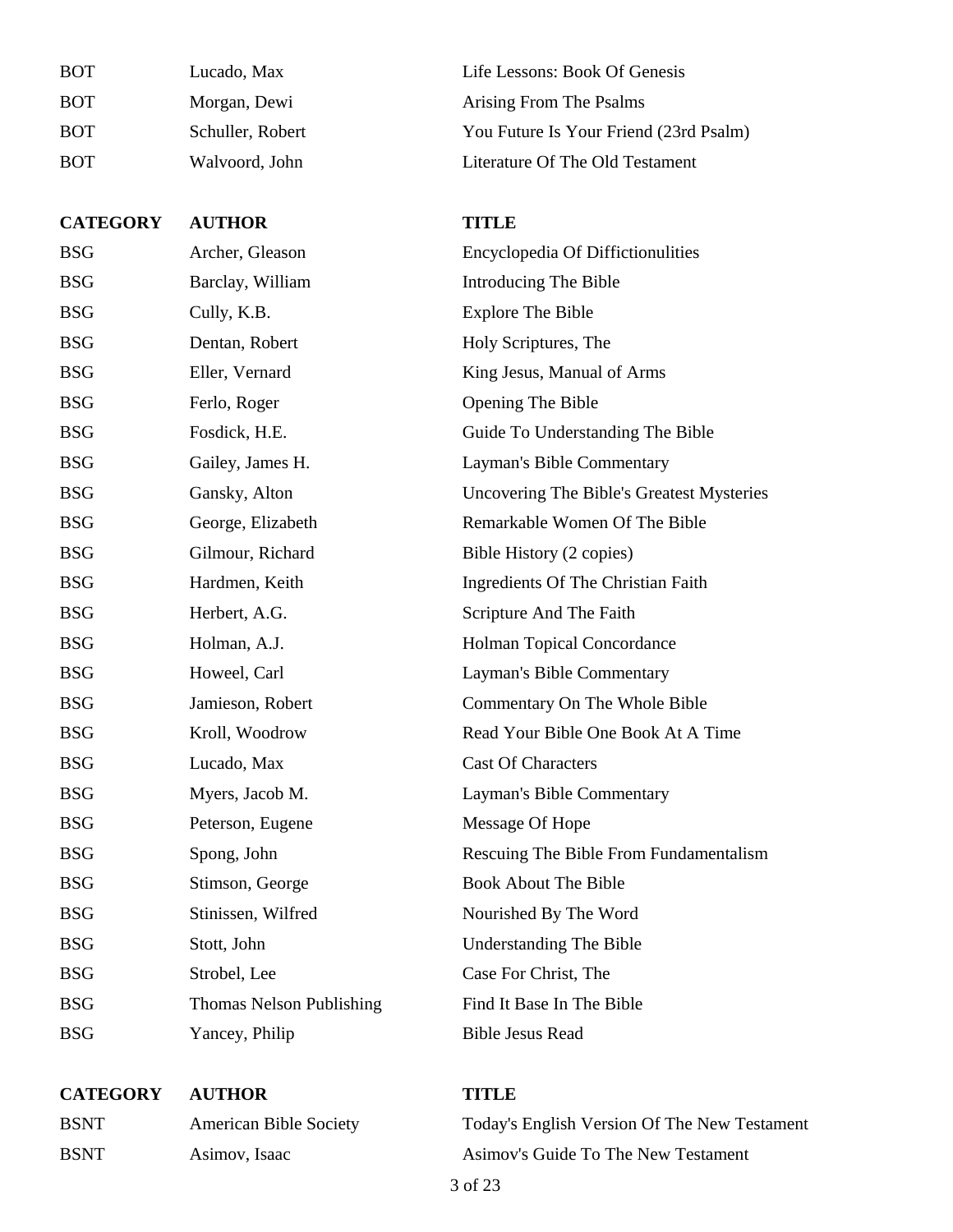| <b>BOT</b>      | Lucado, Max              | Life Lessons: Book Of Genesis                    |
|-----------------|--------------------------|--------------------------------------------------|
| <b>BOT</b>      | Morgan, Dewi             | Arising From The Psalms                          |
| <b>BOT</b>      | Schuller, Robert         | You Future Is Your Friend (23rd Psalm)           |
| <b>BOT</b>      | Walvoord, John           | Literature Of The Old Testament                  |
|                 |                          |                                                  |
| <b>CATEGORY</b> | <b>AUTHOR</b>            | <b>TITLE</b>                                     |
| <b>BSG</b>      | Archer, Gleason          | <b>Encyclopedia Of Diffictionulities</b>         |
| <b>BSG</b>      | Barclay, William         | Introducing The Bible                            |
| <b>BSG</b>      | Cully, K.B.              | <b>Explore The Bible</b>                         |
| <b>BSG</b>      | Dentan, Robert           | Holy Scriptures, The                             |
| <b>BSG</b>      | Eller, Vernard           | King Jesus, Manual of Arms                       |
| <b>BSG</b>      | Ferlo, Roger             | Opening The Bible                                |
| <b>BSG</b>      | Fosdick, H.E.            | Guide To Understanding The Bible                 |
| <b>BSG</b>      | Gailey, James H.         | Layman's Bible Commentary                        |
| <b>BSG</b>      | Gansky, Alton            | <b>Uncovering The Bible's Greatest Mysteries</b> |
| <b>BSG</b>      | George, Elizabeth        | Remarkable Women Of The Bible                    |
| <b>BSG</b>      | Gilmour, Richard         | Bible History (2 copies)                         |
| <b>BSG</b>      | Hardmen, Keith           | <b>Ingredients Of The Christian Faith</b>        |
| <b>BSG</b>      | Herbert, A.G.            | Scripture And The Faith                          |
| <b>BSG</b>      | Holman, A.J.             | Holman Topical Concordance                       |
| <b>BSG</b>      | Howeel, Carl             | Layman's Bible Commentary                        |
| <b>BSG</b>      | Jamieson, Robert         | Commentary On The Whole Bible                    |
| <b>BSG</b>      | Kroll, Woodrow           | Read Your Bible One Book At A Time               |
| <b>BSG</b>      | Lucado, Max              | <b>Cast Of Characters</b>                        |
| <b>BSG</b>      | Myers, Jacob M.          | Layman's Bible Commentary                        |
| <b>BSG</b>      | Peterson, Eugene         | Message Of Hope                                  |
| <b>BSG</b>      | Spong, John              | Rescuing The Bible From Fundamentalism           |
| <b>BSG</b>      | Stimson, George          | <b>Book About The Bible</b>                      |
| <b>BSG</b>      | Stinissen, Wilfred       | Nourished By The Word                            |
| <b>BSG</b>      | Stott, John              | <b>Understanding The Bible</b>                   |
| <b>BSG</b>      | Strobel, Lee             | Case For Christ, The                             |
| <b>BSG</b>      | Thomas Nelson Publishing | Find It Base In The Bible                        |
| <b>BSG</b>      | Yancey, Philip           | <b>Bible Jesus Read</b>                          |

| CATEGORY AUTHOR |                       |
|-----------------|-----------------------|
| <b>BSNT</b>     | <b>American Bible</b> |
| <b>RSNT</b>     | Asimov Isaac          |

## e Society Today's English Version Of The New Testament BSNT Asimov, Isaac Asimov's Guide To The New Testament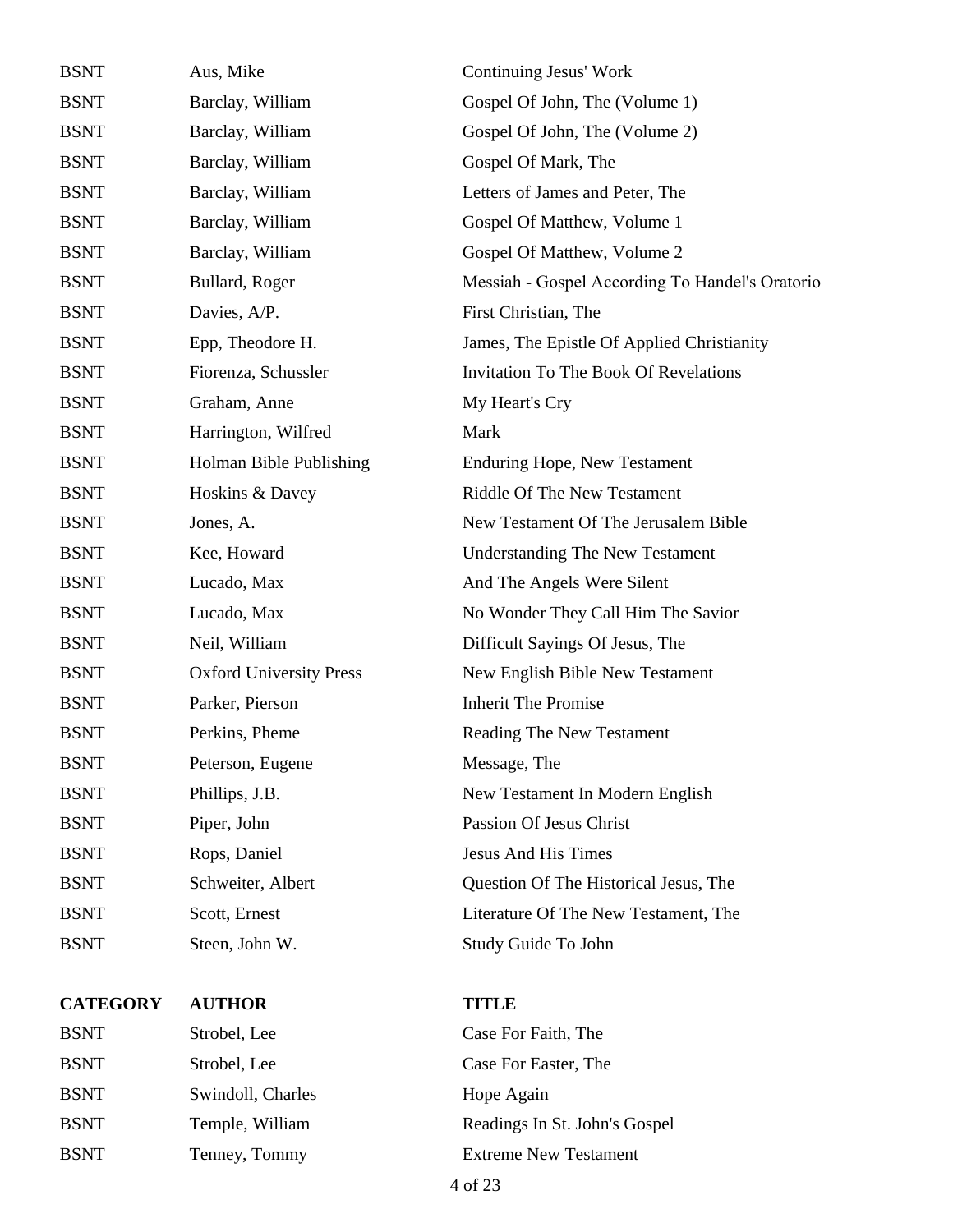| <b>BSNT</b> | Aus, Mike                      | <b>Continuing Jesus' Work</b>                   |
|-------------|--------------------------------|-------------------------------------------------|
| <b>BSNT</b> | Barclay, William               | Gospel Of John, The (Volume 1)                  |
| <b>BSNT</b> | Barclay, William               | Gospel Of John, The (Volume 2)                  |
| <b>BSNT</b> | Barclay, William               | Gospel Of Mark, The                             |
| <b>BSNT</b> | Barclay, William               | Letters of James and Peter, The                 |
| <b>BSNT</b> | Barclay, William               | Gospel Of Matthew, Volume 1                     |
| <b>BSNT</b> | Barclay, William               | Gospel Of Matthew, Volume 2                     |
| <b>BSNT</b> | Bullard, Roger                 | Messiah - Gospel According To Handel's Oratorio |
| <b>BSNT</b> | Davies, A/P.                   | First Christian, The                            |
| <b>BSNT</b> | Epp, Theodore H.               | James, The Epistle Of Applied Christianity      |
| <b>BSNT</b> | Fiorenza, Schussler            | <b>Invitation To The Book Of Revelations</b>    |
| <b>BSNT</b> | Graham, Anne                   | My Heart's Cry                                  |
| <b>BSNT</b> | Harrington, Wilfred            | Mark                                            |
| <b>BSNT</b> | Holman Bible Publishing        | <b>Enduring Hope, New Testament</b>             |
| <b>BSNT</b> | Hoskins & Davey                | <b>Riddle Of The New Testament</b>              |
| <b>BSNT</b> | Jones, A.                      | New Testament Of The Jerusalem Bible            |
| <b>BSNT</b> | Kee, Howard                    | <b>Understanding The New Testament</b>          |
| <b>BSNT</b> | Lucado, Max                    | And The Angels Were Silent                      |
| <b>BSNT</b> | Lucado, Max                    | No Wonder They Call Him The Savior              |
| <b>BSNT</b> | Neil, William                  | Difficult Sayings Of Jesus, The                 |
| <b>BSNT</b> | <b>Oxford University Press</b> | New English Bible New Testament                 |
| <b>BSNT</b> | Parker, Pierson                | <b>Inherit The Promise</b>                      |
| <b>BSNT</b> | Perkins, Pheme                 | Reading The New Testament                       |
| <b>BSNT</b> | Peterson, Eugene               | Message, The                                    |
| <b>BSNT</b> | Phillips, J.B.                 | New Testament In Modern English                 |
| <b>BSNT</b> | Piper, John                    | Passion Of Jesus Christ                         |
| <b>BSNT</b> | Rops, Daniel                   | <b>Jesus And His Times</b>                      |
| <b>BSNT</b> | Schweiter, Albert              | Question Of The Historical Jesus, The           |
| <b>BSNT</b> | Scott, Ernest                  | Literature Of The New Testament, The            |
| <b>BSNT</b> | Steen, John W.                 | Study Guide To John                             |
|             |                                |                                                 |

BSNT Strobel, Lee Case For Faith, The BSNT Strobel, Lee Case For Easter, The BSNT Swindoll, Charles Hope Again BSNT Temple, William Readings In St. John's Gospel BSNT Tenney, Tommy Extreme New Testament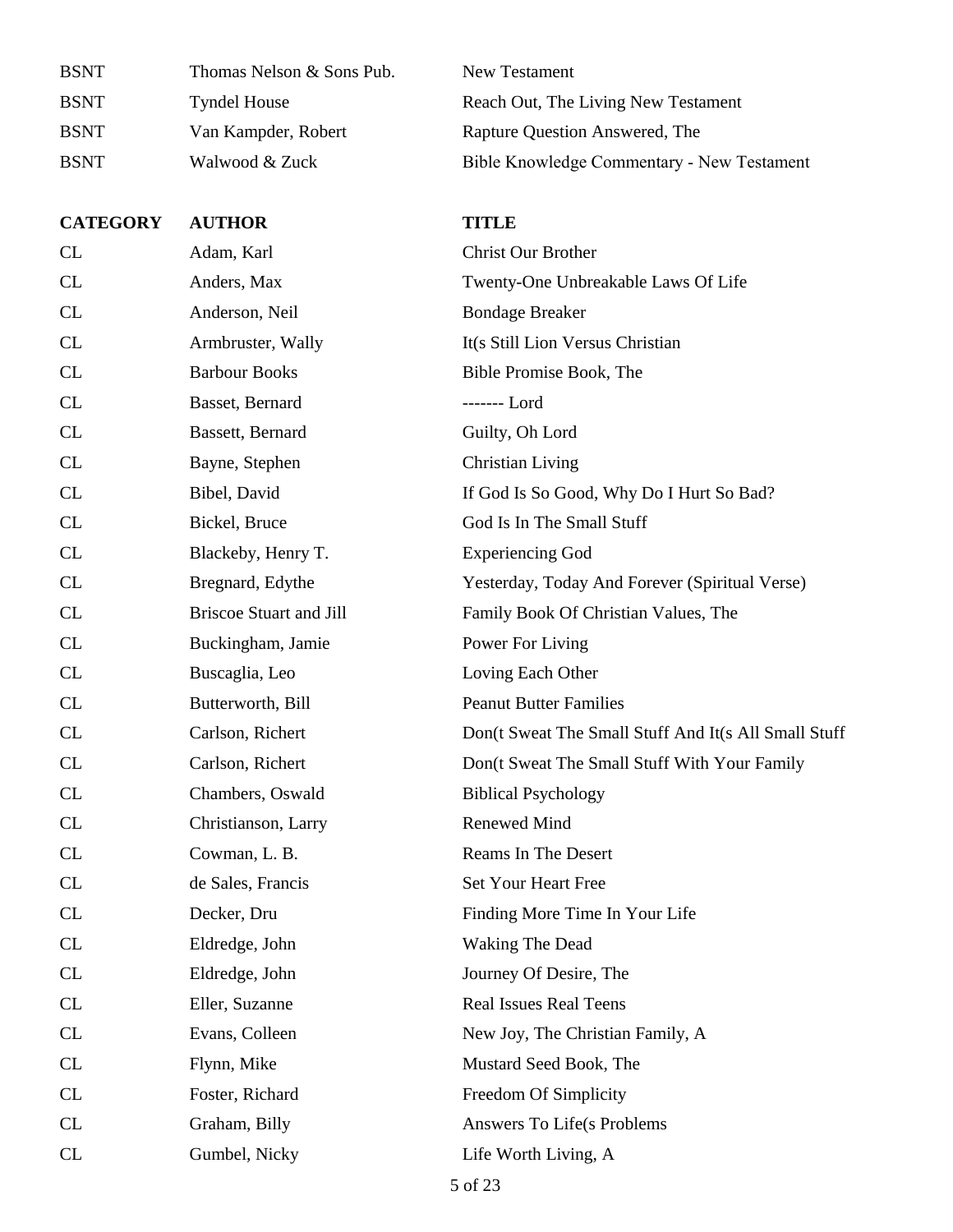| <b>BSNT</b> | Thomas Nelson & Sons Pub. | New Testament                              |
|-------------|---------------------------|--------------------------------------------|
| <b>BSNT</b> | <b>Tyndel House</b>       | Reach Out, The Living New Testament        |
| <b>BSNT</b> | Van Kampder, Robert       | Rapture Question Answered, The             |
| <b>BSNT</b> | Walwood & Zuck            | Bible Knowledge Commentary - New Testament |

| CL | Adam, Karl                     | Christ Our Brother                                   |
|----|--------------------------------|------------------------------------------------------|
| CL | Anders, Max                    | Twenty-One Unbreakable Laws Of Life                  |
| CL | Anderson, Neil                 | <b>Bondage Breaker</b>                               |
| CL | Armbruster, Wally              | It(s Still Lion Versus Christian                     |
| CL | <b>Barbour Books</b>           | Bible Promise Book, The                              |
| CL | Basset, Bernard                | ------- Lord                                         |
| CL | Bassett, Bernard               | Guilty, Oh Lord                                      |
| CL | Bayne, Stephen                 | <b>Christian Living</b>                              |
| CL | Bibel, David                   | If God Is So Good, Why Do I Hurt So Bad?             |
| CL | Bickel, Bruce                  | God Is In The Small Stuff                            |
| CL | Blackeby, Henry T.             | <b>Experiencing God</b>                              |
| CL | Bregnard, Edythe               | Yesterday, Today And Forever (Spiritual Verse)       |
| CL | <b>Briscoe Stuart and Jill</b> | Family Book Of Christian Values, The                 |
| CL | Buckingham, Jamie              | Power For Living                                     |
| CL | Buscaglia, Leo                 | Loving Each Other                                    |
| CL | Butterworth, Bill              | <b>Peanut Butter Families</b>                        |
| CL | Carlson, Richert               | Don(t Sweat The Small Stuff And It(s All Small Stuff |
| CL | Carlson, Richert               | Don(t Sweat The Small Stuff With Your Family         |
| CL | Chambers, Oswald               | <b>Biblical Psychology</b>                           |
| CL | Christianson, Larry            | Renewed Mind                                         |
| CL | Cowman, L. B.                  | <b>Reams In The Desert</b>                           |
| CL | de Sales, Francis              | Set Your Heart Free                                  |
| CL | Decker, Dru                    | Finding More Time In Your Life                       |
| CL | Eldredge, John                 | <b>Waking The Dead</b>                               |
| CL | Eldredge, John                 | Journey Of Desire, The                               |
| CL | Eller, Suzanne                 | <b>Real Issues Real Teens</b>                        |
| CL | Evans, Colleen                 | New Joy, The Christian Family, A                     |
| CL | Flynn, Mike                    | Mustard Seed Book, The                               |
| CL | Foster, Richard                | Freedom Of Simplicity                                |
| CL | Graham, Billy                  | Answers To Life(s Problems                           |
| CL | Gumbel, Nicky                  | Life Worth Living, A                                 |
|    |                                | 5 of 23                                              |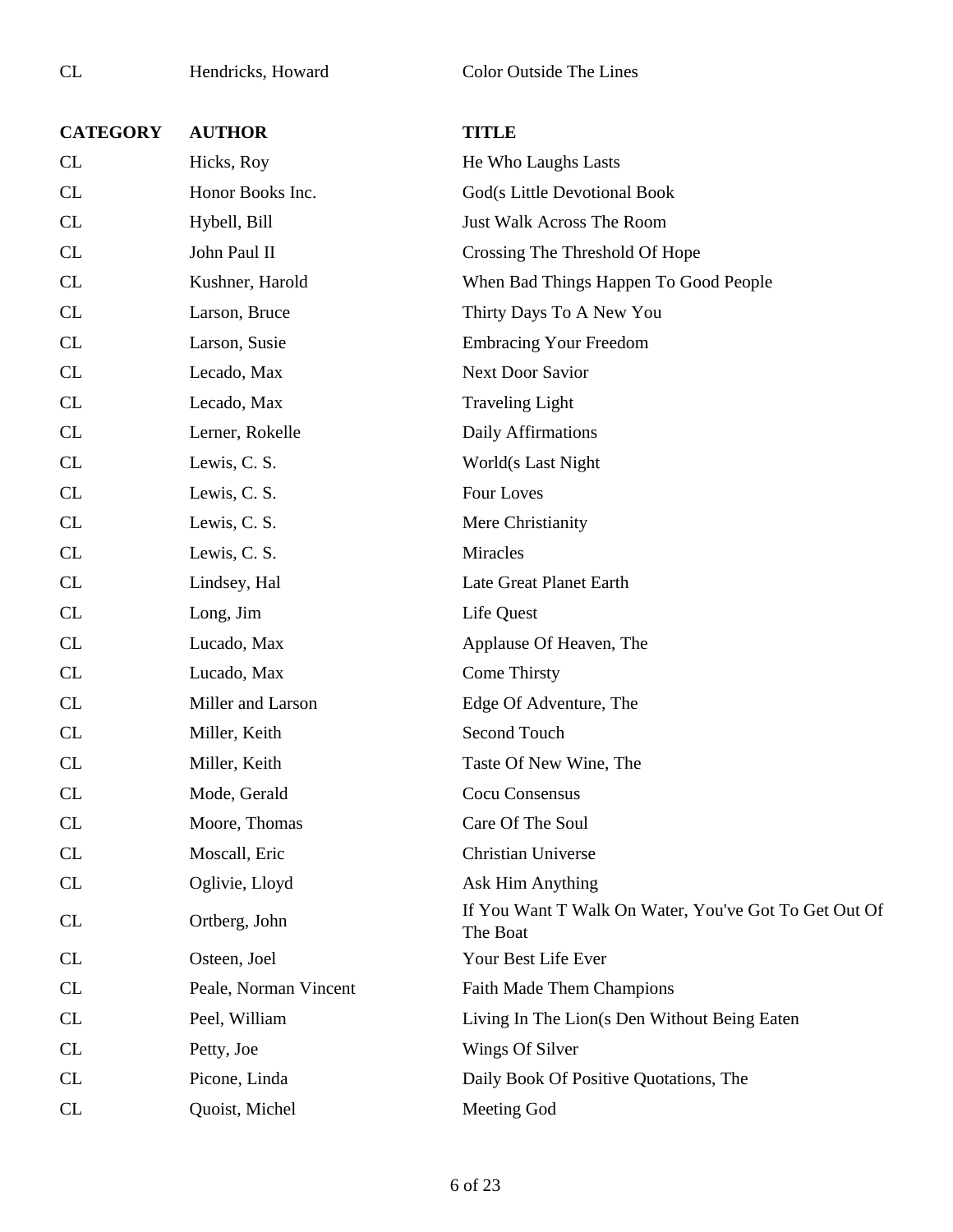CL Hendricks, Howard Color Outside The Lines

| <b>CATEGORY</b> | <b>AUTHOR</b>         | <b>TITLE</b>                                                      |
|-----------------|-----------------------|-------------------------------------------------------------------|
| CL              | Hicks, Roy            | He Who Laughs Lasts                                               |
| CL              | Honor Books Inc.      | God(s Little Devotional Book                                      |
| CL              | Hybell, Bill          | Just Walk Across The Room                                         |
| CL              | John Paul II          | Crossing The Threshold Of Hope                                    |
| CL              | Kushner, Harold       | When Bad Things Happen To Good People                             |
| CL              | Larson, Bruce         | Thirty Days To A New You                                          |
| CL              | Larson, Susie         | <b>Embracing Your Freedom</b>                                     |
| CL              | Lecado, Max           | Next Door Savior                                                  |
| CL              | Lecado, Max           | <b>Traveling Light</b>                                            |
| CL              | Lerner, Rokelle       | Daily Affirmations                                                |
| CL              | Lewis, C. S.          | World(s Last Night                                                |
| CL              | Lewis, C. S.          | Four Loves                                                        |
| CL              | Lewis, C. S.          | Mere Christianity                                                 |
| CL              | Lewis, C. S.          | <b>Miracles</b>                                                   |
| CL              | Lindsey, Hal          | Late Great Planet Earth                                           |
| CL              | Long, Jim             | Life Quest                                                        |
| CL              | Lucado, Max           | Applause Of Heaven, The                                           |
| CL              | Lucado, Max           | Come Thirsty                                                      |
| CL              | Miller and Larson     | Edge Of Adventure, The                                            |
| CL              | Miller, Keith         | Second Touch                                                      |
| CL              | Miller, Keith         | Taste Of New Wine, The                                            |
| CL              | Mode, Gerald          | Cocu Consensus                                                    |
| CL              | Moore, Thomas         | Care Of The Soul                                                  |
| CL              | Moscall, Eric         | Christian Universe                                                |
| CL              | Oglivie, Lloyd        | Ask Him Anything                                                  |
| CL              | Ortberg, John         | If You Want T Walk On Water, You've Got To Get Out Of<br>The Boat |
| CL              | Osteen, Joel          | Your Best Life Ever                                               |
| CL              | Peale, Norman Vincent | <b>Faith Made Them Champions</b>                                  |
| CL              | Peel, William         | Living In The Lion(s Den Without Being Eaten                      |
| CL              | Petty, Joe            | Wings Of Silver                                                   |
| CL              | Picone, Linda         | Daily Book Of Positive Quotations, The                            |
| CL              | Quoist, Michel        | Meeting God                                                       |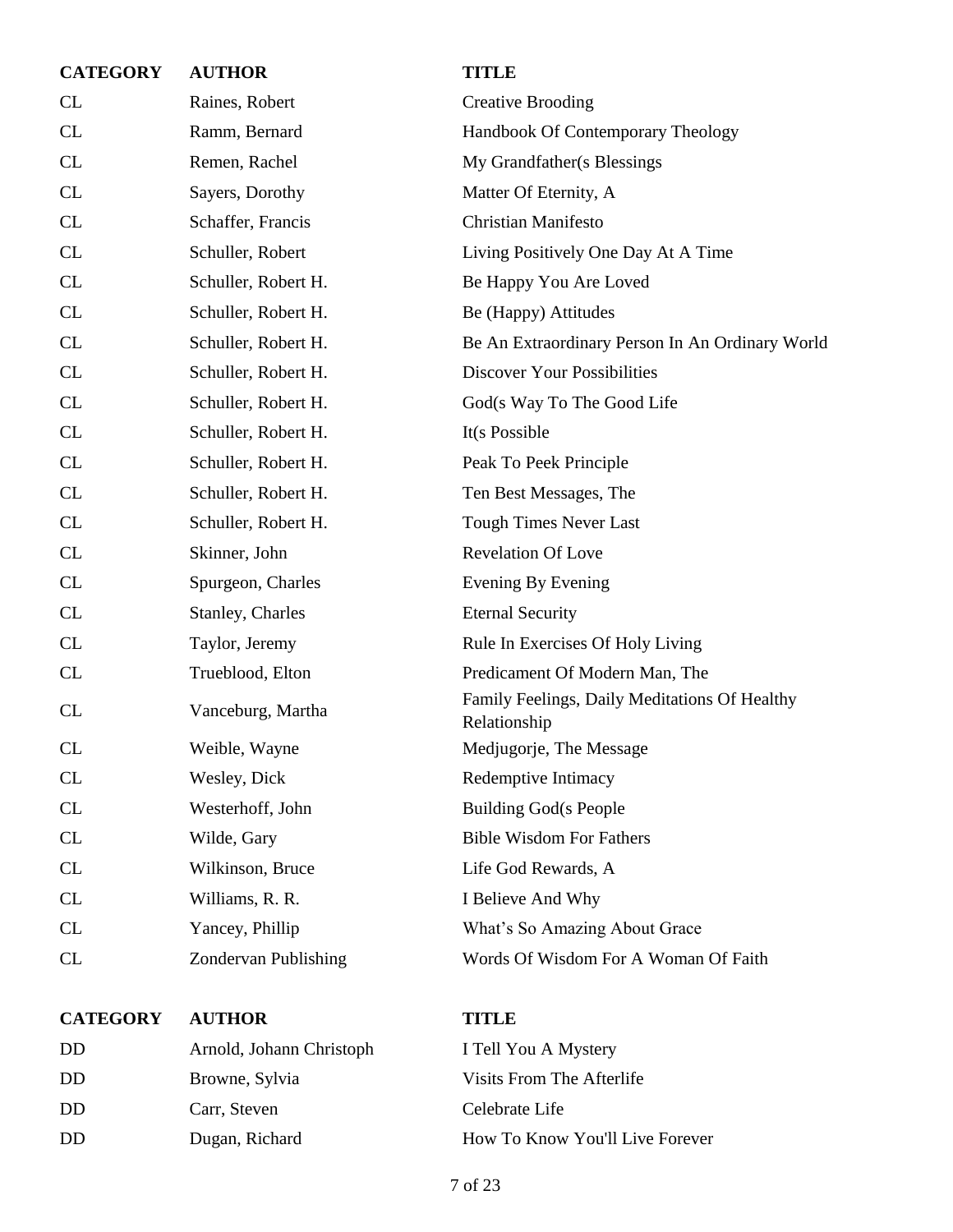| <b>CATEGORY</b> | <b>AUTHOR</b>               | <b>TITLE</b>                                                  |
|-----------------|-----------------------------|---------------------------------------------------------------|
| CL              | Raines, Robert              | <b>Creative Brooding</b>                                      |
| CL              | Ramm, Bernard               | Handbook Of Contemporary Theology                             |
| CL              | Remen, Rachel               | My Grandfather (s Blessings)                                  |
| CL              | Sayers, Dorothy             | Matter Of Eternity, A                                         |
| CL              | Schaffer, Francis           | Christian Manifesto                                           |
| CL              | Schuller, Robert            | Living Positively One Day At A Time                           |
| CL              | Schuller, Robert H.         | Be Happy You Are Loved                                        |
| CL              | Schuller, Robert H.         | Be (Happy) Attitudes                                          |
| CL              | Schuller, Robert H.         | Be An Extraordinary Person In An Ordinary World               |
| CL              | Schuller, Robert H.         | <b>Discover Your Possibilities</b>                            |
| CL              | Schuller, Robert H.         | God(s Way To The Good Life                                    |
| CL              | Schuller, Robert H.         | It(s Possible                                                 |
| CL              | Schuller, Robert H.         | Peak To Peek Principle                                        |
| CL              | Schuller, Robert H.         | Ten Best Messages, The                                        |
| CL              | Schuller, Robert H.         | Tough Times Never Last                                        |
| CL              | Skinner, John               | Revelation Of Love                                            |
| CL              | Spurgeon, Charles           | Evening By Evening                                            |
| CL              | Stanley, Charles            | <b>Eternal Security</b>                                       |
| CL              | Taylor, Jeremy              | Rule In Exercises Of Holy Living                              |
| CL              | Trueblood, Elton            | Predicament Of Modern Man, The                                |
| CL              | Vanceburg, Martha           | Family Feelings, Daily Meditations Of Healthy<br>Relationship |
| CL              | Weible, Wayne               | Medjugorje, The Message                                       |
| CL              | Wesley, Dick                | Redemptive Intimacy                                           |
| CL              | Westerhoff, John            | <b>Building God(s People</b>                                  |
| CL              | Wilde, Gary                 | <b>Bible Wisdom For Fathers</b>                               |
| CL              | Wilkinson, Bruce            | Life God Rewards, A                                           |
| CL              | Williams, R. R.             | I Believe And Why                                             |
| CL              | Yancey, Phillip             | What's So Amazing About Grace                                 |
| CL              | <b>Zondervan Publishing</b> | Words Of Wisdom For A Woman Of Faith                          |
|                 |                             |                                                               |

| DD | Arnold, Johann Christopl |
|----|--------------------------|
| DD | Browne, Sylvia           |
| DD | Carr, Steven             |
| DD | Dugan, Richard           |

h I Tell You A Mystery Visits From The Afterlife Celebrate Life How To Know You'll Live Forever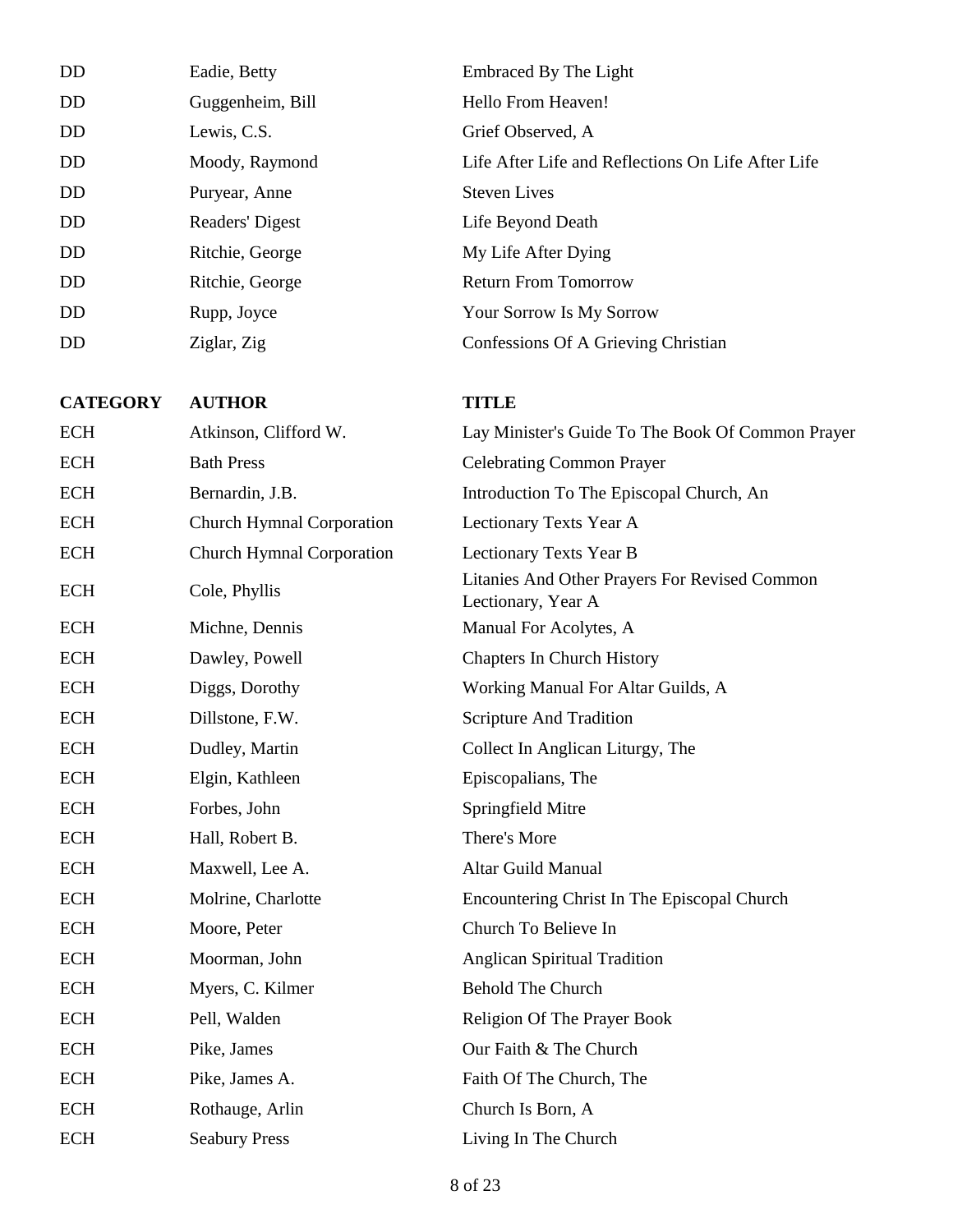| DD              | Eadie, Betty              | <b>Embraced By The Light</b>                                        |
|-----------------|---------------------------|---------------------------------------------------------------------|
| DD              | Guggenheim, Bill          | Hello From Heaven!                                                  |
| DD              | Lewis, C.S.               | Grief Observed, A                                                   |
| DD              | Moody, Raymond            | Life After Life and Reflections On Life After Life                  |
| <b>DD</b>       | Puryear, Anne             | <b>Steven Lives</b>                                                 |
| DD              | Readers' Digest           | Life Beyond Death                                                   |
| DD              | Ritchie, George           | My Life After Dying                                                 |
| DD              | Ritchie, George           | <b>Return From Tomorrow</b>                                         |
| DD              | Rupp, Joyce               | Your Sorrow Is My Sorrow                                            |
| DD              | Ziglar, Zig               | Confessions Of A Grieving Christian                                 |
| <b>CATEGORY</b> | <b>AUTHOR</b>             | <b>TITLE</b>                                                        |
| <b>ECH</b>      | Atkinson, Clifford W.     | Lay Minister's Guide To The Book Of Common Prayer                   |
| <b>ECH</b>      | <b>Bath Press</b>         | <b>Celebrating Common Prayer</b>                                    |
| <b>ECH</b>      | Bernardin, J.B.           | Introduction To The Episcopal Church, An                            |
| <b>ECH</b>      | Church Hymnal Corporation | Lectionary Texts Year A                                             |
| <b>ECH</b>      | Church Hymnal Corporation | Lectionary Texts Year B                                             |
| <b>ECH</b>      | Cole, Phyllis             | Litanies And Other Prayers For Revised Common<br>Lectionary, Year A |
| <b>ECH</b>      | Michne, Dennis            | Manual For Acolytes, A                                              |
| <b>ECH</b>      | Dawley, Powell            | <b>Chapters In Church History</b>                                   |
| <b>ECH</b>      | Diggs, Dorothy            | Working Manual For Altar Guilds, A                                  |
| <b>ECH</b>      | Dillstone, F.W.           | Scripture And Tradition                                             |
| <b>ECH</b>      | Dudley, Martin            | Collect In Anglican Liturgy, The                                    |
| <b>ECH</b>      | Elgin, Kathleen           | Episcopalians, The                                                  |
| <b>ECH</b>      | Forbes, John              | Springfield Mitre                                                   |
| <b>ECH</b>      | Hall, Robert B.           | There's More                                                        |
| <b>ECH</b>      | Maxwell, Lee A.           | Altar Guild Manual                                                  |
| <b>ECH</b>      | Molrine, Charlotte        | Encountering Christ In The Episcopal Church                         |
| <b>ECH</b>      | Moore, Peter              | Church To Believe In                                                |
| <b>ECH</b>      | Moorman, John             | <b>Anglican Spiritual Tradition</b>                                 |
| <b>ECH</b>      | Myers, C. Kilmer          | <b>Behold The Church</b>                                            |
| <b>ECH</b>      | Pell, Walden              | Religion Of The Prayer Book                                         |
| <b>ECH</b>      | Pike, James               | Our Faith & The Church                                              |
| <b>ECH</b>      | Pike, James A.            | Faith Of The Church, The                                            |
| ECH             | Rothauge, Arlin           | Church Is Born, A                                                   |
| <b>ECH</b>      | <b>Seabury Press</b>      | Living In The Church                                                |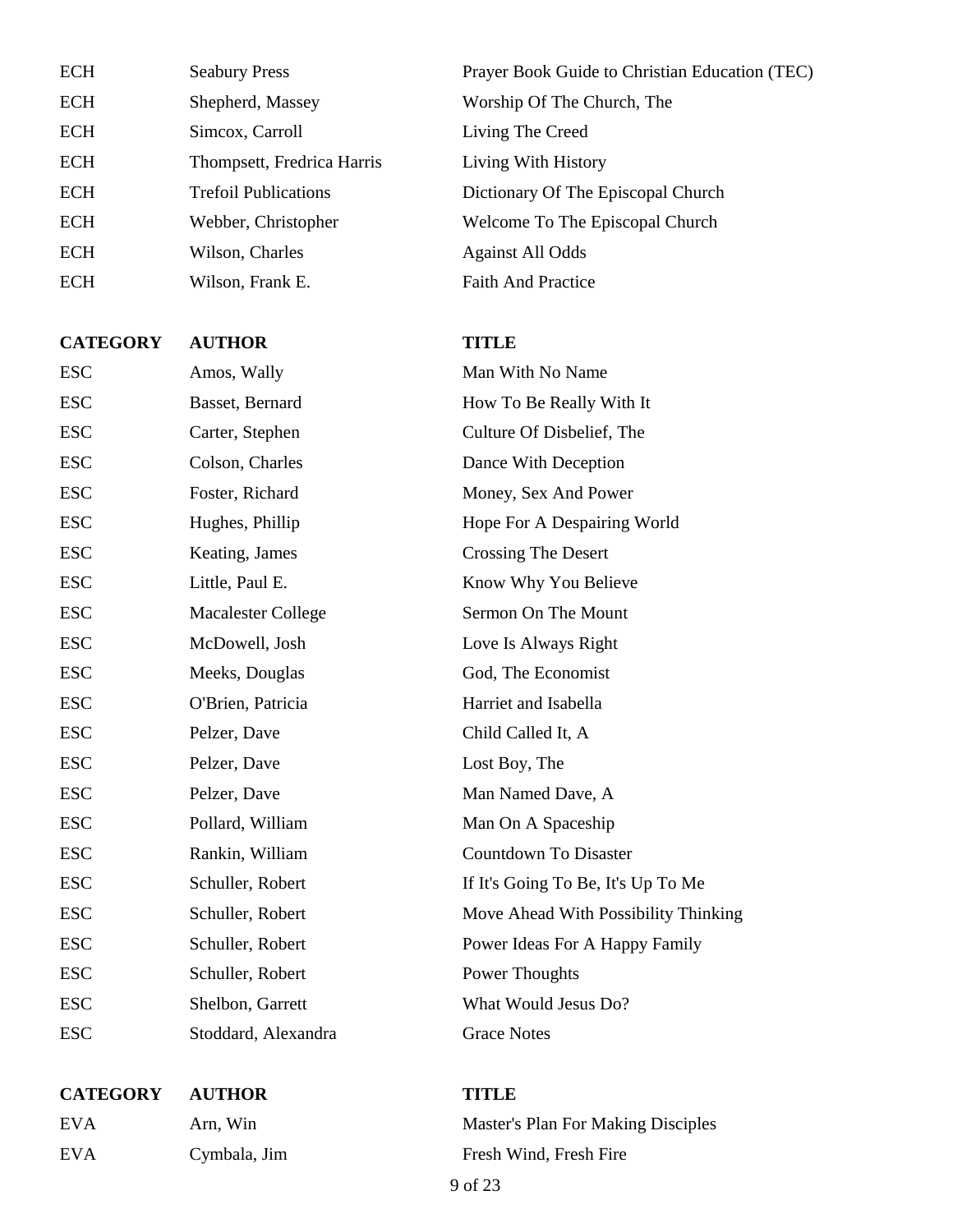| <b>ECH</b> | <b>Seabury Press</b>        | Prayer Book Guide to Christian Education (TEC) |
|------------|-----------------------------|------------------------------------------------|
| <b>ECH</b> | Shepherd, Massey            | Worship Of The Church, The                     |
| <b>ECH</b> | Simcox, Carroll             | Living The Creed                               |
| <b>ECH</b> | Thompsett, Fredrica Harris  | Living With History                            |
| <b>ECH</b> | <b>Trefoil Publications</b> | Dictionary Of The Episcopal Church             |
| <b>ECH</b> | Webber, Christopher         | Welcome To The Episcopal Church                |
| <b>ECH</b> | Wilson, Charles             | <b>Against All Odds</b>                        |
| <b>ECH</b> | Wilson, Frank E.            | <b>Faith And Practice</b>                      |
|            |                             |                                                |

| <b>ESC</b> | Amos, Wally         | Man With No Name                     |
|------------|---------------------|--------------------------------------|
| <b>ESC</b> | Basset, Bernard     | How To Be Really With It             |
| <b>ESC</b> | Carter, Stephen     | Culture Of Disbelief, The            |
| <b>ESC</b> | Colson, Charles     | Dance With Deception                 |
| <b>ESC</b> | Foster, Richard     | Money, Sex And Power                 |
| <b>ESC</b> | Hughes, Phillip     | Hope For A Despairing World          |
| <b>ESC</b> | Keating, James      | <b>Crossing The Desert</b>           |
| <b>ESC</b> | Little, Paul E.     | Know Why You Believe                 |
| <b>ESC</b> | Macalester College  | Sermon On The Mount                  |
| <b>ESC</b> | McDowell, Josh      | Love Is Always Right                 |
| <b>ESC</b> | Meeks, Douglas      | God, The Economist                   |
| <b>ESC</b> | O'Brien, Patricia   | Harriet and Isabella                 |
| <b>ESC</b> | Pelzer, Dave        | Child Called It, A                   |
| <b>ESC</b> | Pelzer, Dave        | Lost Boy, The                        |
| <b>ESC</b> | Pelzer, Dave        | Man Named Dave, A                    |
| <b>ESC</b> | Pollard, William    | Man On A Spaceship                   |
| <b>ESC</b> | Rankin, William     | Countdown To Disaster                |
| <b>ESC</b> | Schuller, Robert    | If It's Going To Be, It's Up To Me   |
| <b>ESC</b> | Schuller, Robert    | Move Ahead With Possibility Thinking |
| <b>ESC</b> | Schuller, Robert    | Power Ideas For A Happy Family       |
| <b>ESC</b> | Schuller, Robert    | <b>Power Thoughts</b>                |
| <b>ESC</b> | Shelbon, Garrett    | What Would Jesus Do?                 |
| <b>ESC</b> | Stoddard, Alexandra | <b>Grace Notes</b>                   |

| CATEGORY AUTHOR |              | TITLE    |
|-----------------|--------------|----------|
| <b>EVA</b>      | Arn. Win     | Master's |
| EVA             | Cymbala, Jim | Fresh W  |

## n Master's Plan For Making Disciples Eva Cymbala, Jim Fresh Wind, Fresh Fire 9 of 23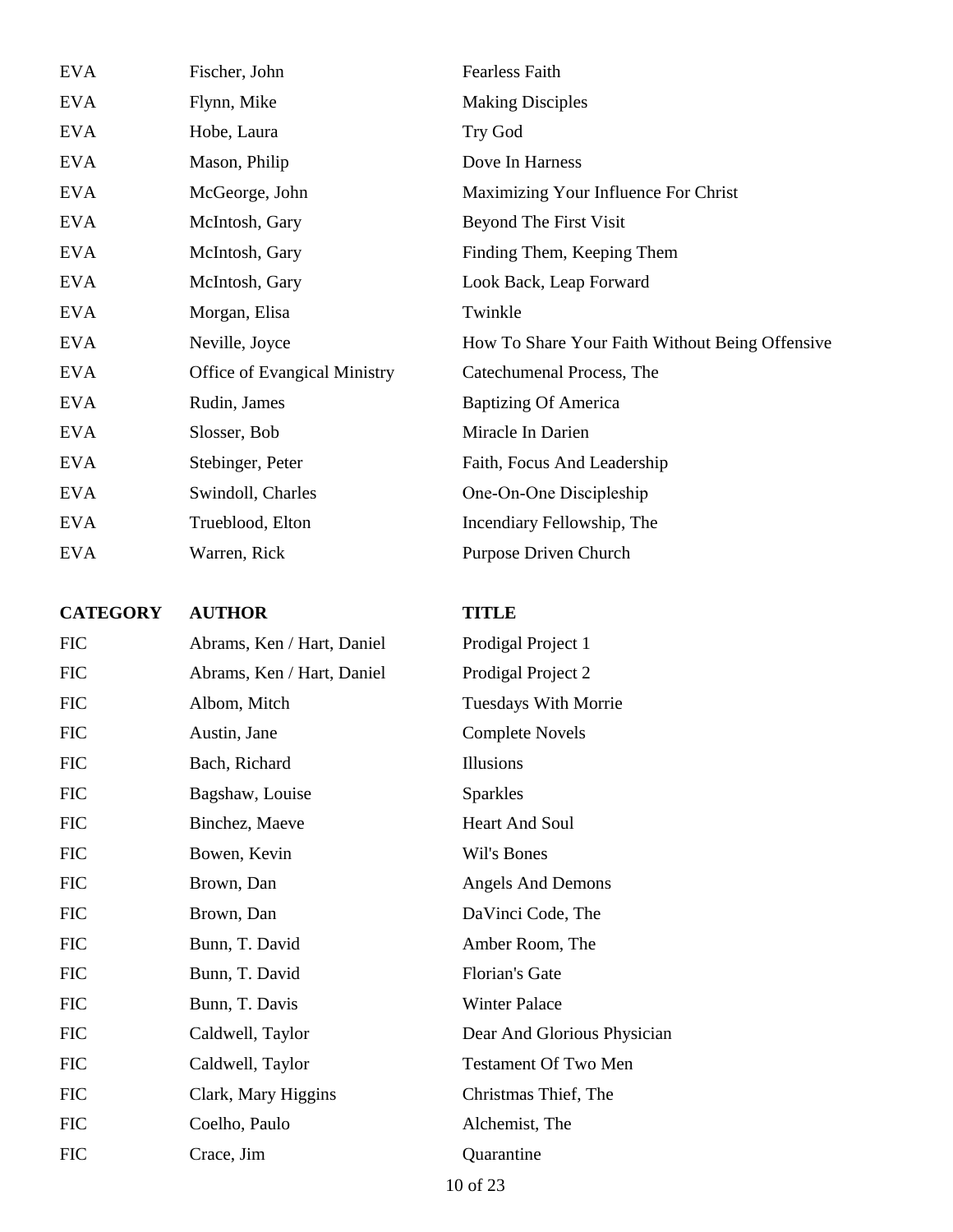| <b>EVA</b> | Fischer, John                | <b>Fearless Faith</b>                           |
|------------|------------------------------|-------------------------------------------------|
| <b>EVA</b> | Flynn, Mike                  | <b>Making Disciples</b>                         |
| <b>EVA</b> | Hobe, Laura                  | Try God                                         |
| <b>EVA</b> | Mason, Philip                | Dove In Harness                                 |
| <b>EVA</b> | McGeorge, John               | Maximizing Your Influence For Christ            |
| <b>EVA</b> | McIntosh, Gary               | Beyond The First Visit                          |
| <b>EVA</b> | McIntosh, Gary               | Finding Them, Keeping Them                      |
| <b>EVA</b> | McIntosh, Gary               | Look Back, Leap Forward                         |
| <b>EVA</b> | Morgan, Elisa                | Twinkle                                         |
| <b>EVA</b> | Neville, Joyce               | How To Share Your Faith Without Being Offensive |
| <b>EVA</b> | Office of Evangical Ministry | Catechumenal Process, The                       |
| <b>EVA</b> | Rudin, James                 | <b>Baptizing Of America</b>                     |
| <b>EVA</b> | Slosser, Bob                 | Miracle In Darien                               |
| <b>EVA</b> | Stebinger, Peter             | Faith, Focus And Leadership                     |
| <b>EVA</b> | Swindoll, Charles            | One-On-One Discipleship                         |
| <b>EVA</b> | Trueblood, Elton             | Incendiary Fellowship, The                      |
| <b>EVA</b> | Warren, Rick                 | Purpose Driven Church                           |
|            |                              |                                                 |

| FIC        | Abrams, Ken / Hart, Daniel | Prodigal Project 1          |
|------------|----------------------------|-----------------------------|
| FIC        | Abrams, Ken / Hart, Daniel | Prodigal Project 2          |
| FIC        | Albom, Mitch               | Tuesdays With Morrie        |
| FIC        | Austin, Jane               | <b>Complete Novels</b>      |
| <b>FIC</b> | Bach, Richard              | Illusions                   |
| FIC        | Bagshaw, Louise            | <b>Sparkles</b>             |
| FIC        | Binchez, Maeve             | <b>Heart And Soul</b>       |
| FIC        | Bowen, Kevin               | Wil's Bones                 |
| FIC        | Brown, Dan                 | <b>Angels And Demons</b>    |
| FIC        | Brown, Dan                 | DaVinci Code, The           |
| FIC        | Bunn, T. David             | Amber Room, The             |
| FIC        | Bunn, T. David             | Florian's Gate              |
| FIC        | Bunn, T. Davis             | <b>Winter Palace</b>        |
| FIC        | Caldwell, Taylor           | Dear And Glorious Physician |
| <b>FIC</b> | Caldwell, Taylor           | <b>Testament Of Two Men</b> |
| FIC        | Clark, Mary Higgins        | Christmas Thief, The        |
| FIC        | Coelho, Paulo              | Alchemist, The              |
| FIC        | Crace, Jim                 | Quarantine                  |
|            |                            |                             |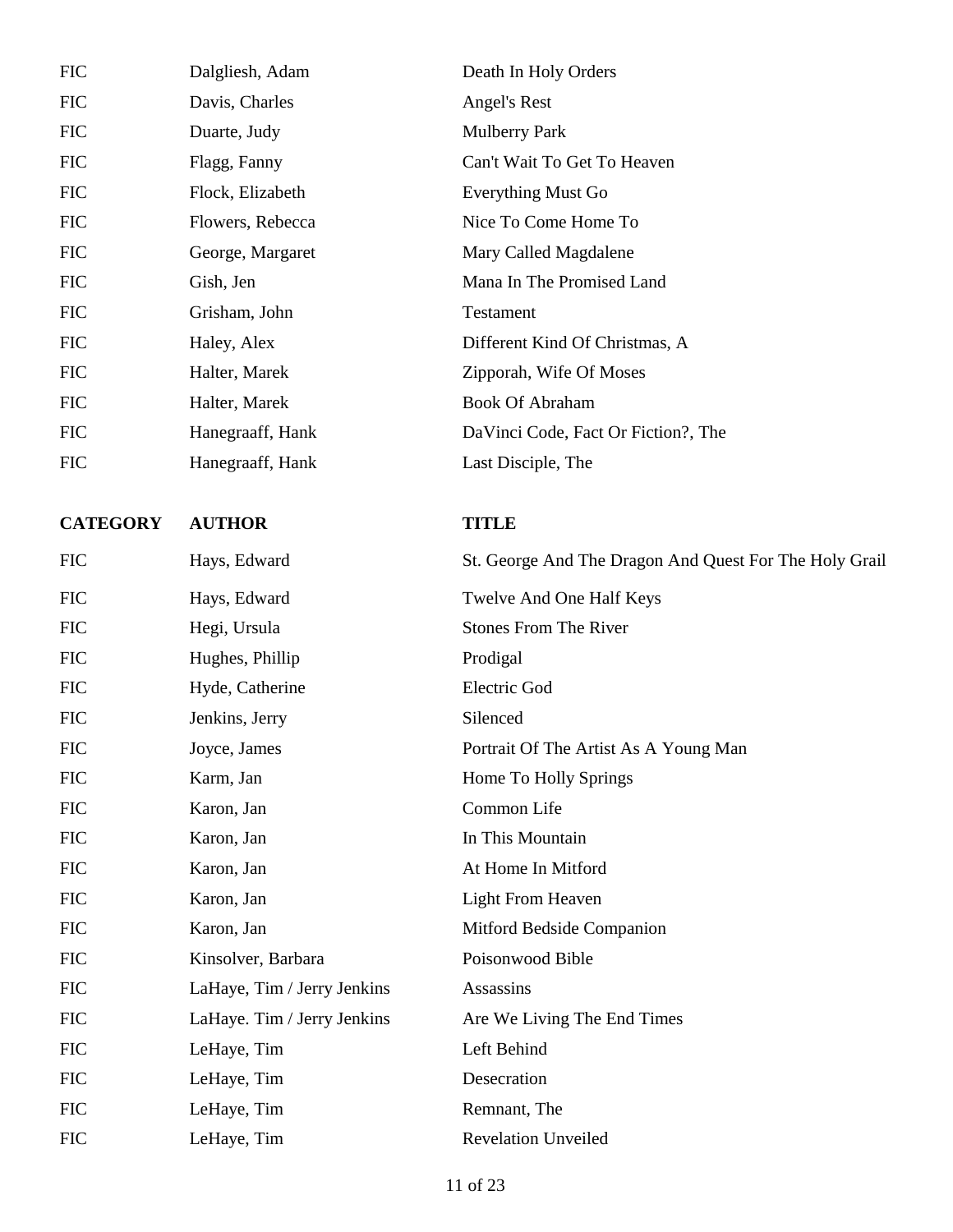| <b>FIC</b> | Dalgliesh, Adam  | Death In Holy Orders                |
|------------|------------------|-------------------------------------|
| <b>FIC</b> | Davis, Charles   | Angel's Rest                        |
| <b>FIC</b> | Duarte, Judy     | <b>Mulberry Park</b>                |
| <b>FIC</b> | Flagg, Fanny     | Can't Wait To Get To Heaven         |
| <b>FIC</b> | Flock, Elizabeth | Everything Must Go                  |
| <b>FIC</b> | Flowers, Rebecca | Nice To Come Home To                |
| <b>FIC</b> | George, Margaret | Mary Called Magdalene               |
| <b>FIC</b> | Gish, Jen        | Mana In The Promised Land           |
| <b>FIC</b> | Grisham, John    | <b>Testament</b>                    |
| <b>FIC</b> | Haley, Alex      | Different Kind Of Christmas, A      |
| <b>FIC</b> | Halter, Marek    | Zipporah, Wife Of Moses             |
| <b>FIC</b> | Halter, Marek    | <b>Book Of Abraham</b>              |
| <b>FIC</b> | Hanegraaff, Hank | DaVinci Code, Fact Or Fiction?, The |
| <b>FIC</b> | Hanegraaff, Hank | Last Disciple, The                  |

| <b>FIC</b>  | Hays, Edward                | St. George And The Dragon And Quest For The Holy Grail |
|-------------|-----------------------------|--------------------------------------------------------|
| <b>FIC</b>  | Hays, Edward                | Twelve And One Half Keys                               |
| <b>FIC</b>  | Hegi, Ursula                | <b>Stones From The River</b>                           |
| ${\rm FIC}$ | Hughes, Phillip             | Prodigal                                               |
| <b>FIC</b>  | Hyde, Catherine             | <b>Electric God</b>                                    |
| <b>FIC</b>  | Jenkins, Jerry              | Silenced                                               |
| <b>FIC</b>  | Joyce, James                | Portrait Of The Artist As A Young Man                  |
| <b>FIC</b>  | Karm, Jan                   | Home To Holly Springs                                  |
| <b>FIC</b>  | Karon, Jan                  | Common Life                                            |
| <b>FIC</b>  | Karon, Jan                  | In This Mountain                                       |
| <b>FIC</b>  | Karon, Jan                  | At Home In Mitford                                     |
| <b>FIC</b>  | Karon, Jan                  | <b>Light From Heaven</b>                               |
| <b>FIC</b>  | Karon, Jan                  | Mitford Bedside Companion                              |
| <b>FIC</b>  | Kinsolver, Barbara          | Poisonwood Bible                                       |
| <b>FIC</b>  | LaHaye, Tim / Jerry Jenkins | Assassins                                              |
| <b>FIC</b>  | LaHaye. Tim / Jerry Jenkins | Are We Living The End Times                            |
| <b>FIC</b>  | LeHaye, Tim                 | Left Behind                                            |
| <b>FIC</b>  | LeHaye, Tim                 | Desecration                                            |
| <b>FIC</b>  | LeHaye, Tim                 | Remnant, The                                           |
| <b>FIC</b>  | LeHaye, Tim                 | <b>Revelation Unveiled</b>                             |
|             |                             |                                                        |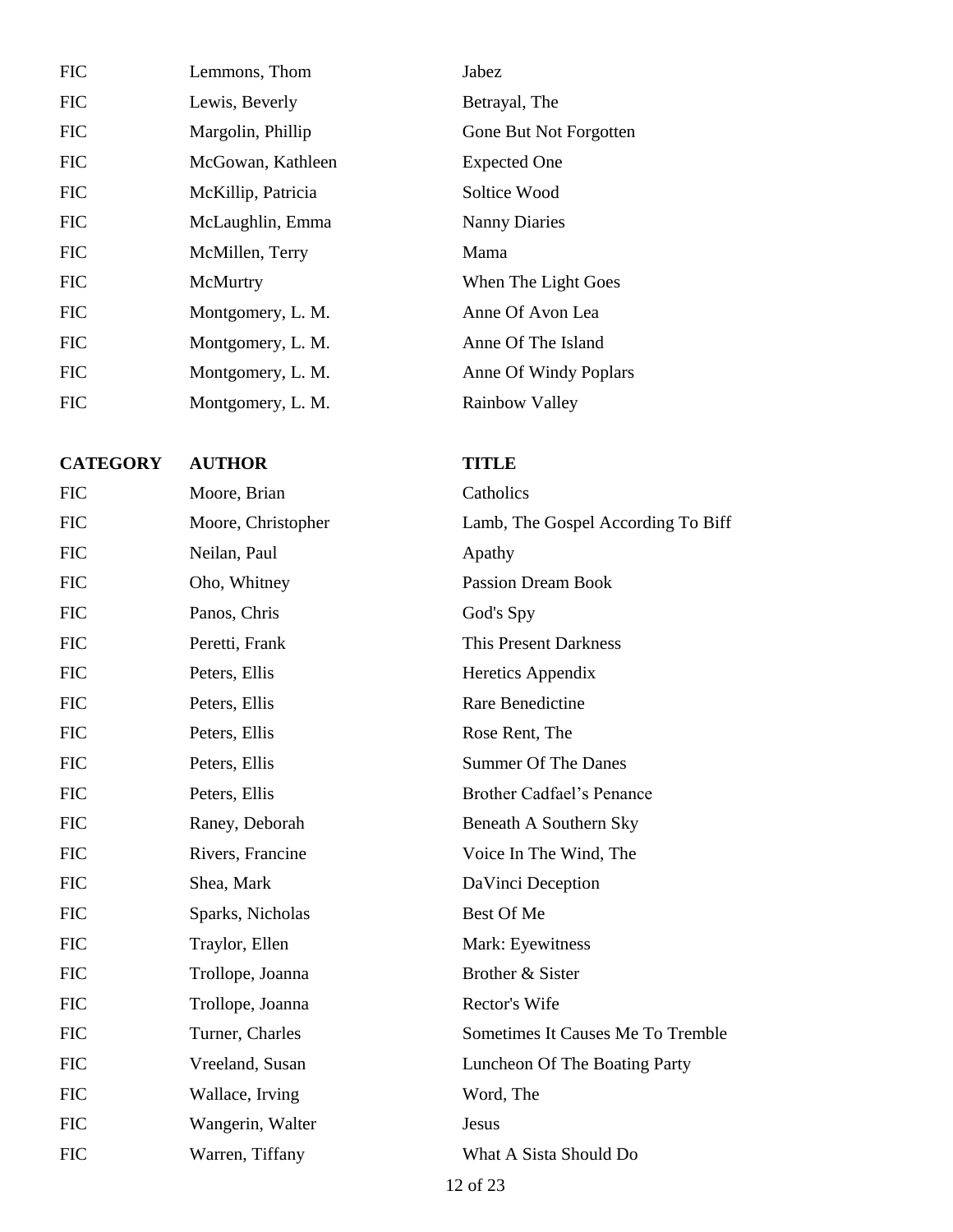| <b>FIC</b> | Lemmons, Thom      | Jabez                  |
|------------|--------------------|------------------------|
| <b>FIC</b> | Lewis, Beverly     | Betrayal, The          |
| <b>FIC</b> | Margolin, Phillip  | Gone But Not Forgotten |
| <b>FIC</b> | McGowan, Kathleen  | <b>Expected One</b>    |
| <b>FIC</b> | McKillip, Patricia | Soltice Wood           |
| <b>FIC</b> | McLaughlin, Emma   | <b>Nanny Diaries</b>   |
| <b>FIC</b> | McMillen, Terry    | Mama                   |
| <b>FIC</b> | McMurtry           | When The Light Goes    |
| <b>FIC</b> | Montgomery, L. M.  | Anne Of Avon Lea       |
| <b>FIC</b> | Montgomery, L. M.  | Anne Of The Island     |
| <b>FIC</b> | Montgomery, L. M.  | Anne Of Windy Poplars  |
|            |                    |                        |

| <b>FIC</b> | Moore, Brian       | Catholics                          |
|------------|--------------------|------------------------------------|
| <b>FIC</b> | Moore, Christopher | Lamb, The Gospel According To Biff |
| <b>FIC</b> | Neilan, Paul       | Apathy                             |
| <b>FIC</b> | Oho, Whitney       | <b>Passion Dream Book</b>          |
| <b>FIC</b> | Panos, Chris       | God's Spy                          |
| <b>FIC</b> | Peretti, Frank     | <b>This Present Darkness</b>       |
| <b>FIC</b> | Peters, Ellis      | Heretics Appendix                  |
| <b>FIC</b> | Peters, Ellis      | Rare Benedictine                   |
| <b>FIC</b> | Peters, Ellis      | Rose Rent, The                     |
| <b>FIC</b> | Peters, Ellis      | <b>Summer Of The Danes</b>         |
| <b>FIC</b> | Peters, Ellis      | <b>Brother Cadfael's Penance</b>   |
| <b>FIC</b> | Raney, Deborah     | Beneath A Southern Sky             |
| <b>FIC</b> | Rivers, Francine   | Voice In The Wind, The             |
| <b>FIC</b> | Shea, Mark         | DaVinci Deception                  |
| <b>FIC</b> | Sparks, Nicholas   | Best Of Me                         |
| <b>FIC</b> | Traylor, Ellen     | Mark: Eyewitness                   |
| <b>FIC</b> | Trollope, Joanna   | Brother & Sister                   |
| <b>FIC</b> | Trollope, Joanna   | Rector's Wife                      |
| <b>FIC</b> | Turner, Charles    | Sometimes It Causes Me To Tremble  |
| <b>FIC</b> | Vreeland, Susan    | Luncheon Of The Boating Party      |
| <b>FIC</b> | Wallace, Irving    | Word, The                          |
| <b>FIC</b> | Wangerin, Walter   | Jesus                              |
| <b>FIC</b> | Warren, Tiffany    | What A Sista Should Do             |
|            |                    | 12 of 23                           |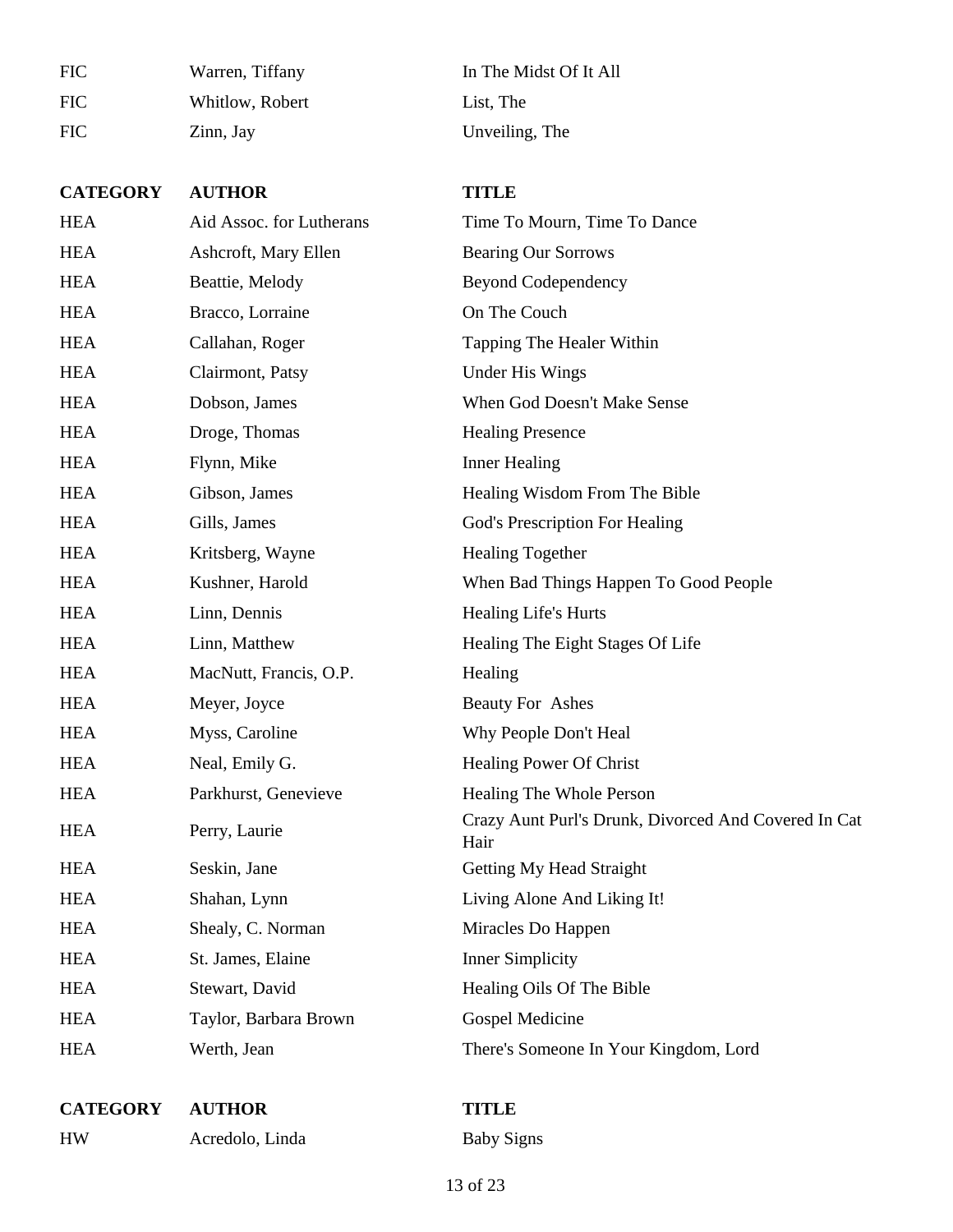| <b>FIC</b> | Warren, Tiffany | In The Midst O |
|------------|-----------------|----------------|
| <b>FIC</b> | Whitlow, Robert | List. The      |
| <b>FIC</b> | Zinn, Jay       | Unveiling, The |

In The Midst Of It All List, The

| HEA        | Aid Assoc. for Lutherans | Time To Mourn, Time To Dance                                 |
|------------|--------------------------|--------------------------------------------------------------|
| HEA        | Ashcroft, Mary Ellen     | <b>Bearing Our Sorrows</b>                                   |
| HEA        | Beattie, Melody          | <b>Beyond Codependency</b>                                   |
| HEA        | Bracco, Lorraine         | On The Couch                                                 |
| HEA        | Callahan, Roger          | Tapping The Healer Within                                    |
| HEA        | Clairmont, Patsy         | <b>Under His Wings</b>                                       |
| <b>HEA</b> | Dobson, James            | When God Doesn't Make Sense                                  |
| HEA        | Droge, Thomas            | <b>Healing Presence</b>                                      |
| HEA        | Flynn, Mike              | <b>Inner Healing</b>                                         |
| HEA        | Gibson, James            | Healing Wisdom From The Bible                                |
| HEA        | Gills, James             | God's Prescription For Healing                               |
| <b>HEA</b> | Kritsberg, Wayne         | <b>Healing Together</b>                                      |
| HEA        | Kushner, Harold          | When Bad Things Happen To Good People                        |
| HEA        | Linn, Dennis             | <b>Healing Life's Hurts</b>                                  |
| HEA        | Linn, Matthew            | Healing The Eight Stages Of Life                             |
| <b>HEA</b> | MacNutt, Francis, O.P.   | Healing                                                      |
| HEA        | Meyer, Joyce             | <b>Beauty For Ashes</b>                                      |
| HEA        | Myss, Caroline           | Why People Don't Heal                                        |
| HEA        | Neal, Emily G.           | <b>Healing Power Of Christ</b>                               |
| HEA        | Parkhurst, Genevieve     | Healing The Whole Person                                     |
| HEA        | Perry, Laurie            | Crazy Aunt Purl's Drunk, Divorced And Covered In Cat<br>Hair |
| HEA        | Seskin, Jane             | Getting My Head Straight                                     |
| HEA        | Shahan, Lynn             | Living Alone And Liking It!                                  |
| HEA        | Shealy, C. Norman        | Miracles Do Happen                                           |
| HEA        | St. James, Elaine        | <b>Inner Simplicity</b>                                      |
| <b>HEA</b> | Stewart, David           | Healing Oils Of The Bible                                    |
| HEA        | Taylor, Barbara Brown    | Gospel Medicine                                              |
| <b>HEA</b> | Werth, Jean              | There's Someone In Your Kingdom, Lord                        |
|            |                          |                                                              |

**CATEGORY AUTHOR TITLE**

HW Acredolo, Linda Baby Signs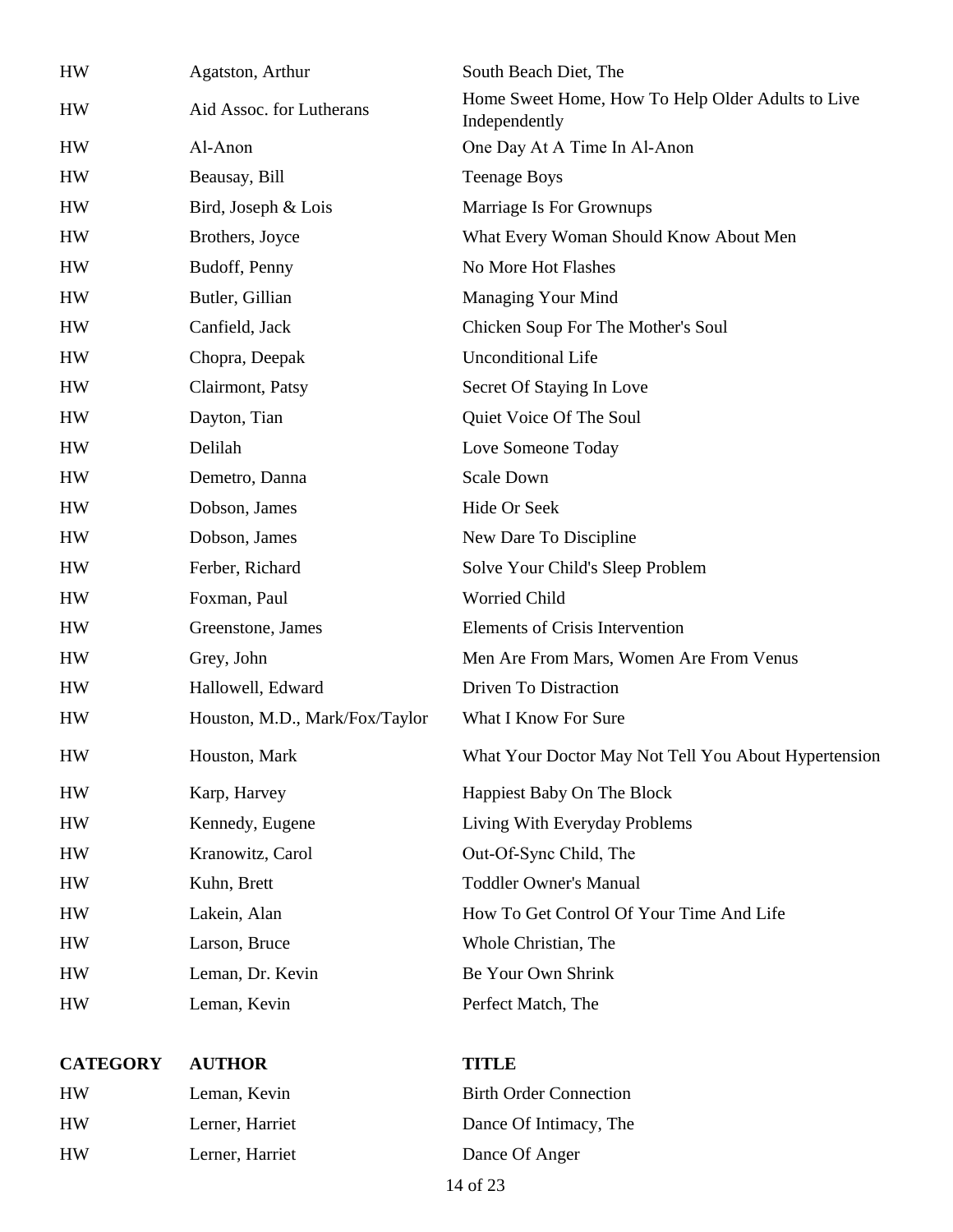| <b>HW</b> | Agatston, Arthur               | South Beach Diet, The                                              |
|-----------|--------------------------------|--------------------------------------------------------------------|
| <b>HW</b> | Aid Assoc. for Lutherans       | Home Sweet Home, How To Help Older Adults to Live<br>Independently |
| <b>HW</b> | Al-Anon                        | One Day At A Time In Al-Anon                                       |
| <b>HW</b> | Beausay, Bill                  | <b>Teenage Boys</b>                                                |
| <b>HW</b> | Bird, Joseph & Lois            | Marriage Is For Grownups                                           |
| <b>HW</b> | Brothers, Joyce                | What Every Woman Should Know About Men                             |
| <b>HW</b> | Budoff, Penny                  | No More Hot Flashes                                                |
| <b>HW</b> | Butler, Gillian                | Managing Your Mind                                                 |
| <b>HW</b> | Canfield, Jack                 | Chicken Soup For The Mother's Soul                                 |
| <b>HW</b> | Chopra, Deepak                 | <b>Unconditional Life</b>                                          |
| <b>HW</b> | Clairmont, Patsy               | Secret Of Staying In Love                                          |
| <b>HW</b> | Dayton, Tian                   | Quiet Voice Of The Soul                                            |
| <b>HW</b> | Delilah                        | Love Someone Today                                                 |
| <b>HW</b> | Demetro, Danna                 | <b>Scale Down</b>                                                  |
| <b>HW</b> | Dobson, James                  | Hide Or Seek                                                       |
| <b>HW</b> | Dobson, James                  | New Dare To Discipline                                             |
| <b>HW</b> | Ferber, Richard                | Solve Your Child's Sleep Problem                                   |
| <b>HW</b> | Foxman, Paul                   | Worried Child                                                      |
| <b>HW</b> | Greenstone, James              | <b>Elements of Crisis Intervention</b>                             |
| <b>HW</b> | Grey, John                     | Men Are From Mars, Women Are From Venus                            |
| <b>HW</b> | Hallowell, Edward              | Driven To Distraction                                              |
| <b>HW</b> | Houston, M.D., Mark/Fox/Taylor | What I Know For Sure                                               |
| HW        | Houston, Mark                  | What Your Doctor May Not Tell You About Hypertension               |
| <b>HW</b> | Karp, Harvey                   | Happiest Baby On The Block                                         |
| <b>HW</b> | Kennedy, Eugene                | Living With Everyday Problems                                      |
| <b>HW</b> | Kranowitz, Carol               | Out-Of-Sync Child, The                                             |
| <b>HW</b> | Kuhn, Brett                    | <b>Toddler Owner's Manual</b>                                      |
| <b>HW</b> | Lakein, Alan                   | How To Get Control Of Your Time And Life                           |
| <b>HW</b> | Larson, Bruce                  | Whole Christian, The                                               |
| <b>HW</b> | Leman, Dr. Kevin               | Be Your Own Shrink                                                 |
| <b>HW</b> | Leman, Kevin                   | Perfect Match, The                                                 |
|           |                                |                                                                    |

## **CATEGORY AUTHOR TITLE** HW Leman, Kevin Birth Order Connection HW Lerner, Harriet Dance Of Intimacy, The

HW Lerner, Harriet Dance Of Anger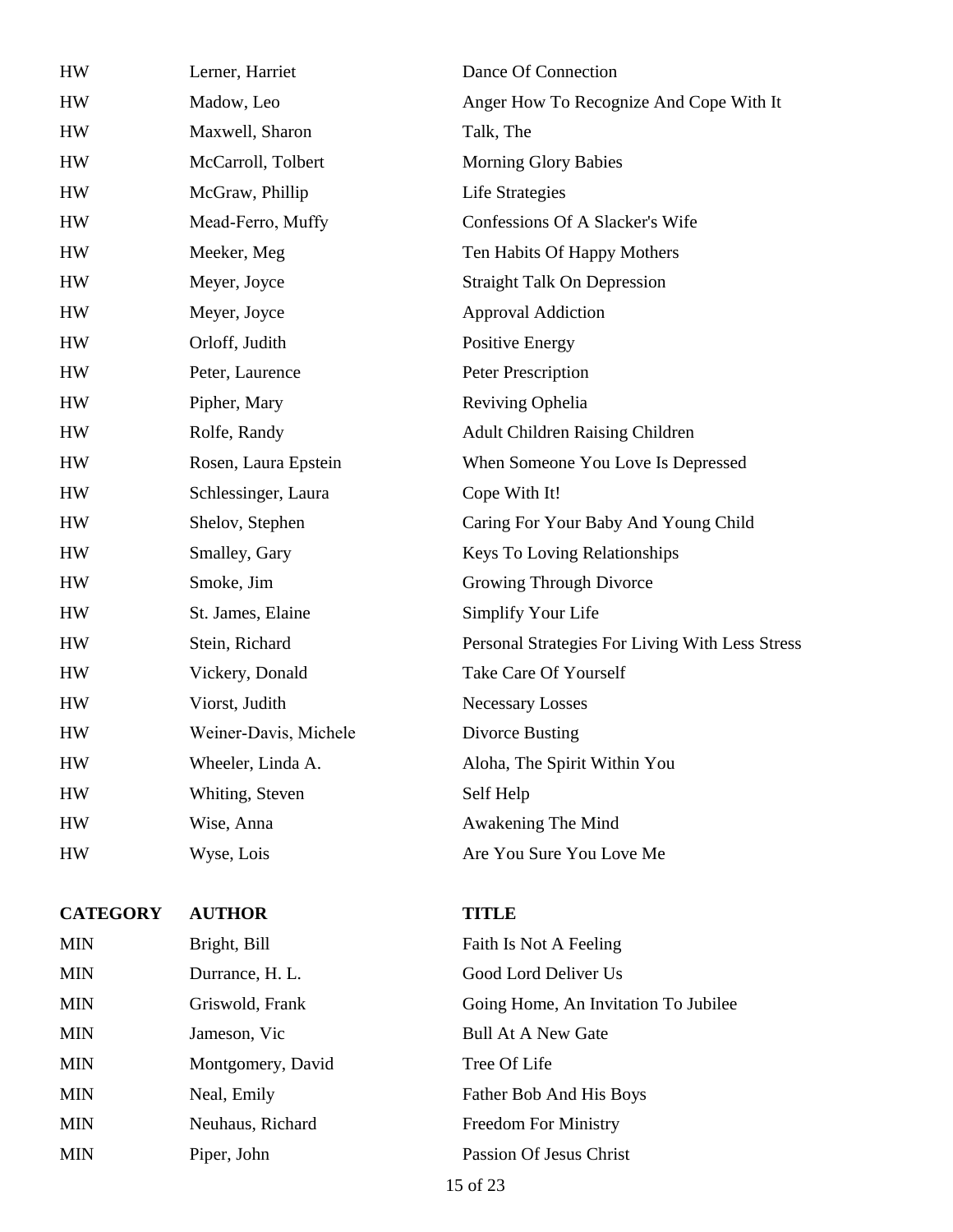| <b>HW</b>       | Lerner, Harriet       | Dance Of Connection                             |
|-----------------|-----------------------|-------------------------------------------------|
| <b>HW</b>       | Madow, Leo            | Anger How To Recognize And Cope With It         |
| HW              | Maxwell, Sharon       | Talk, The                                       |
| HW              | McCarroll, Tolbert    | <b>Morning Glory Babies</b>                     |
| <b>HW</b>       | McGraw, Phillip       | Life Strategies                                 |
| HW              | Mead-Ferro, Muffy     | Confessions Of A Slacker's Wife                 |
| HW              | Meeker, Meg           | Ten Habits Of Happy Mothers                     |
| HW              | Meyer, Joyce          | <b>Straight Talk On Depression</b>              |
| HW              | Meyer, Joyce          | <b>Approval Addiction</b>                       |
| <b>HW</b>       | Orloff, Judith        | <b>Positive Energy</b>                          |
| HW              | Peter, Laurence       | Peter Prescription                              |
| HW              | Pipher, Mary          | Reviving Ophelia                                |
| HW              | Rolfe, Randy          | <b>Adult Children Raising Children</b>          |
| HW              | Rosen, Laura Epstein  | When Someone You Love Is Depressed              |
| <b>HW</b>       | Schlessinger, Laura   | Cope With It!                                   |
| HW              | Shelov, Stephen       | Caring For Your Baby And Young Child            |
| HW              | Smalley, Gary         | Keys To Loving Relationships                    |
| HW              | Smoke, Jim            | Growing Through Divorce                         |
| HW              | St. James, Elaine     | Simplify Your Life                              |
| <b>HW</b>       | Stein, Richard        | Personal Strategies For Living With Less Stress |
| HW              | Vickery, Donald       | Take Care Of Yourself                           |
| HW              | Viorst, Judith        | <b>Necessary Losses</b>                         |
| <b>HW</b>       | Weiner-Davis, Michele | Divorce Busting                                 |
| ${\rm HW}$      | Wheeler, Linda A.     | Aloha, The Spirit Within You                    |
| <b>HW</b>       | Whiting, Steven       | Self Help                                       |
| HW              | Wise, Anna            | Awakening The Mind                              |
| HW              | Wyse, Lois            | Are You Sure You Love Me                        |
| <b>CATEGORY</b> | <b>AUTHOR</b>         | <b>TITLE</b>                                    |
| <b>MIN</b>      | Bright, Bill          | Faith Is Not A Feeling                          |
| <b>MIN</b>      | Durrance, H. L.       | Good Lord Deliver Us                            |
| <b>MIN</b>      | Griswold, Frank       | Going Home, An Invitation To Jubilee            |
| <b>MIN</b>      | Jameson, Vic          | <b>Bull At A New Gate</b>                       |
| <b>MIN</b>      | Montgomery, David     | Tree Of Life                                    |
| <b>MIN</b>      | Neal, Emily           | Father Bob And His Boys                         |
| <b>MIN</b>      | Neuhaus, Richard      | <b>Freedom For Ministry</b>                     |
| <b>MIN</b>      | Piper, John           | Passion Of Jesus Christ                         |
|                 |                       |                                                 |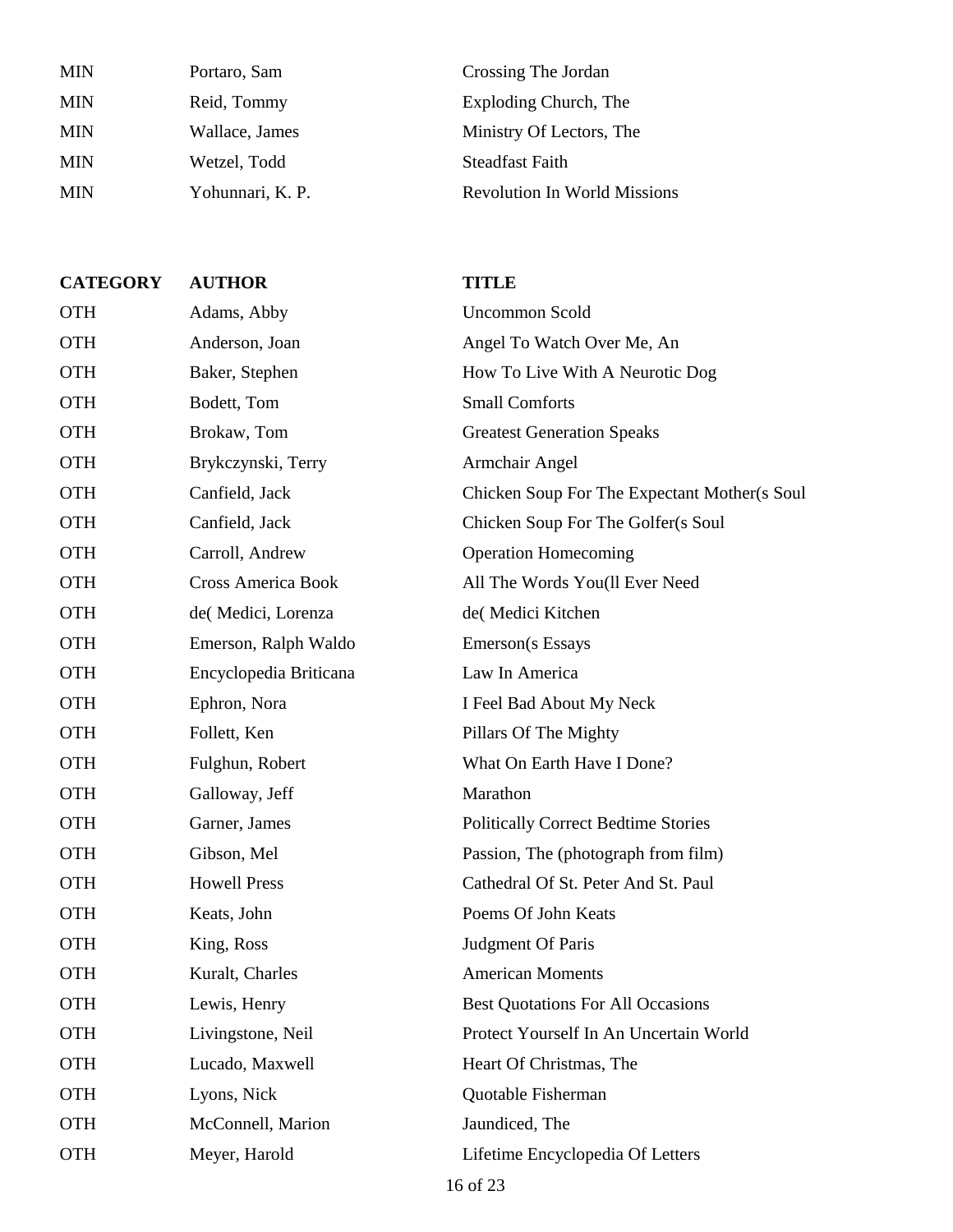| MIN        | Portaro, Sam     | Crossing The Jordan                 |
|------------|------------------|-------------------------------------|
| MIN        | Reid, Tommy      | Exploding Church, The               |
| MIN        | Wallace, James   | Ministry Of Lectors, The            |
| MIN        | Wetzel, Todd     | <b>Steadfast Faith</b>              |
| <b>MIN</b> | Yohunnari, K. P. | <b>Revolution In World Missions</b> |

| <b>CATEGORY</b> | <b>AUTHOR</b>             | <b>TITLE</b>                                 |
|-----------------|---------------------------|----------------------------------------------|
| <b>OTH</b>      | Adams, Abby               | <b>Uncommon Scold</b>                        |
| <b>OTH</b>      | Anderson, Joan            | Angel To Watch Over Me, An                   |
| <b>OTH</b>      | Baker, Stephen            | How To Live With A Neurotic Dog              |
| <b>OTH</b>      | Bodett, Tom               | <b>Small Comforts</b>                        |
| <b>OTH</b>      | Brokaw, Tom               | <b>Greatest Generation Speaks</b>            |
| <b>OTH</b>      | Brykczynski, Terry        | Armchair Angel                               |
| <b>OTH</b>      | Canfield, Jack            | Chicken Soup For The Expectant Mother(s Soul |
| <b>OTH</b>      | Canfield, Jack            | Chicken Soup For The Golfer(s Soul           |
| <b>OTH</b>      | Carroll, Andrew           | <b>Operation Homecoming</b>                  |
| <b>OTH</b>      | <b>Cross America Book</b> | All The Words You(ll Ever Need               |
| <b>OTH</b>      | de(Medici, Lorenza        | de(Medici Kitchen                            |
| <b>OTH</b>      | Emerson, Ralph Waldo      | <b>Emerson</b> (s Essays                     |
| <b>OTH</b>      | Encyclopedia Briticana    | Law In America                               |
| <b>OTH</b>      | Ephron, Nora              | I Feel Bad About My Neck                     |
| <b>OTH</b>      | Follett, Ken              | Pillars Of The Mighty                        |
| <b>OTH</b>      | Fulghun, Robert           | What On Earth Have I Done?                   |
| <b>OTH</b>      | Galloway, Jeff            | Marathon                                     |
| <b>OTH</b>      | Garner, James             | <b>Politically Correct Bedtime Stories</b>   |
| <b>OTH</b>      | Gibson, Mel               | Passion, The (photograph from film)          |
| <b>OTH</b>      | <b>Howell Press</b>       | Cathedral Of St. Peter And St. Paul          |
| <b>OTH</b>      | Keats, John               | Poems Of John Keats                          |
| <b>OTH</b>      | King, Ross                | Judgment Of Paris                            |
| <b>OTH</b>      | Kuralt, Charles           | <b>American Moments</b>                      |
| <b>OTH</b>      | Lewis, Henry              | <b>Best Quotations For All Occasions</b>     |
| <b>OTH</b>      | Livingstone, Neil         | Protect Yourself In An Uncertain World       |
| <b>OTH</b>      | Lucado, Maxwell           | Heart Of Christmas, The                      |
| <b>OTH</b>      | Lyons, Nick               | Quotable Fisherman                           |
| <b>OTH</b>      | McConnell, Marion         | Jaundiced, The                               |
| <b>OTH</b>      | Meyer, Harold             | Lifetime Encyclopedia Of Letters             |
|                 |                           | 16 of 23                                     |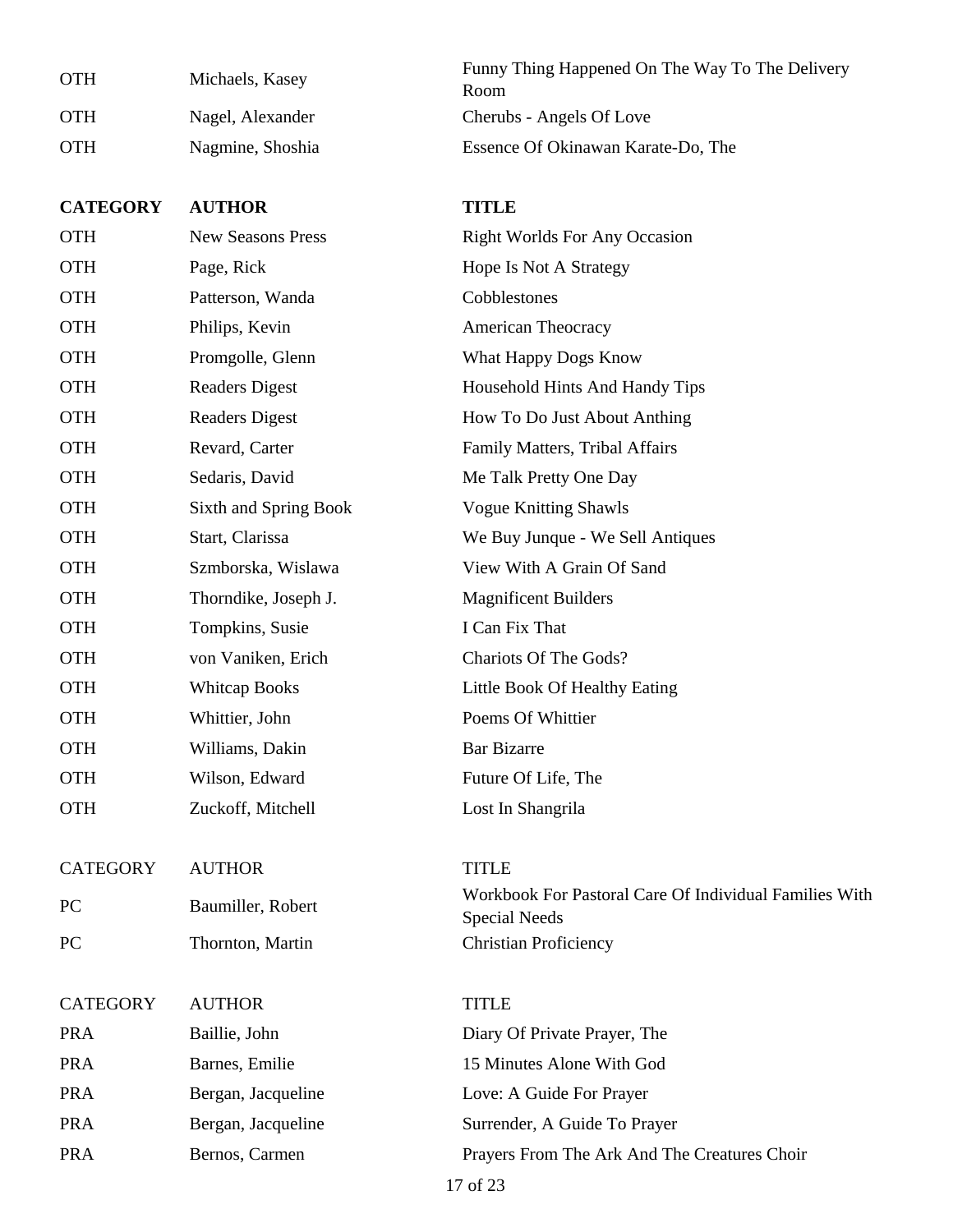| <b>OTH</b> | Michaels, Kasey  | Funny Thing Happened On The Way To The Delivery<br>Room |
|------------|------------------|---------------------------------------------------------|
| <b>OTH</b> | Nagel, Alexander | Cherubs - Angels Of Love                                |
| <b>OTH</b> | Nagmine, Shoshia | Essence Of Okinawan Karate-Do, The                      |

| <b>OTH</b> | <b>New Seasons Press</b> | <b>Right Worlds For Any Occasion</b> |
|------------|--------------------------|--------------------------------------|
| OTH        | Page, Rick               | Hope Is Not A Strategy               |
| <b>OTH</b> | Patterson, Wanda         | Cobblestones                         |
| <b>OTH</b> | Philips, Kevin           | American Theocracy                   |
| <b>OTH</b> | Promgolle, Glenn         | What Happy Dogs Know                 |
| <b>OTH</b> | <b>Readers Digest</b>    | Household Hints And Handy Tips       |
| <b>OTH</b> | <b>Readers Digest</b>    | How To Do Just About Anthing         |
| <b>OTH</b> | Revard, Carter           | Family Matters, Tribal Affairs       |
| <b>OTH</b> | Sedaris, David           | Me Talk Pretty One Day               |
| <b>OTH</b> | Sixth and Spring Book    | <b>Vogue Knitting Shawls</b>         |
| OTH        | Start, Clarissa          | We Buy Junque - We Sell Antiques     |
| OTH        | Szmborska, Wislawa       | View With A Grain Of Sand            |
| <b>OTH</b> | Thorndike, Joseph J.     | <b>Magnificent Builders</b>          |
| <b>OTH</b> | Tompkins, Susie          | I Can Fix That                       |
| OTH        | von Vaniken, Erich       | Chariots Of The Gods?                |
| <b>OTH</b> | <b>Whitcap Books</b>     | Little Book Of Healthy Eating        |
| <b>OTH</b> | Whittier, John           | Poems Of Whittier                    |
| OTH        | Williams, Dakin          | <b>Bar Bizarre</b>                   |
| OTH        | Wilson, Edward           | Future Of Life, The                  |
| <b>OTH</b> | Zuckoff, Mitchell        | Lost In Shangrila                    |
|            |                          |                                      |

## CATEGORY AUTHOR TITLE

| PC. | Baumiller, Robert |
|-----|-------------------|
|     |                   |

PC Thornton, Martin Christian Proficiency

#### CATEGORY AUTHOR TITLE

PRA Baillie, John Diary Of Private Prayer, The PRA Barnes, Emilie 15 Minutes Alone With God PRA Bergan, Jacqueline Love: A Guide For Prayer PRA Bergan, Jacqueline Surrender, A Guide To Prayer

## Workbook For Pastoral Care Of Individual Families With Special Needs

# PRA Bernos, Carmen Prayers From The Ark And The Creatures Choir 17 of 23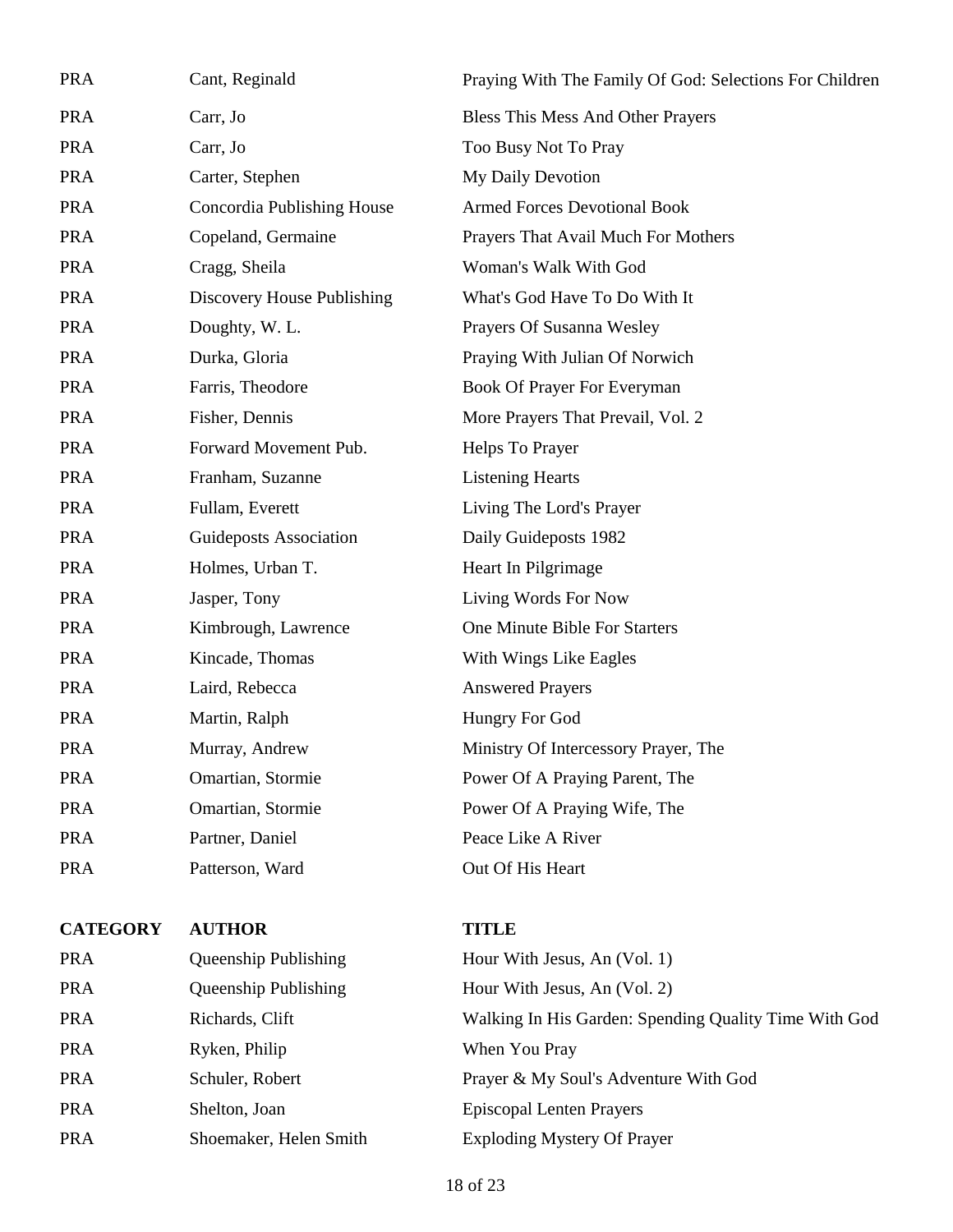| <b>PRA</b>      | Cant, Reginald              | Praying With The Family Of God: Selections For Children |
|-----------------|-----------------------------|---------------------------------------------------------|
| <b>PRA</b>      | Carr, Jo                    | Bless This Mess And Other Prayers                       |
| <b>PRA</b>      | Carr, Jo                    | Too Busy Not To Pray                                    |
| <b>PRA</b>      | Carter, Stephen             | My Daily Devotion                                       |
| <b>PRA</b>      | Concordia Publishing House  | <b>Armed Forces Devotional Book</b>                     |
| <b>PRA</b>      | Copeland, Germaine          | Prayers That Avail Much For Mothers                     |
| <b>PRA</b>      | Cragg, Sheila               | Woman's Walk With God                                   |
| <b>PRA</b>      | Discovery House Publishing  | What's God Have To Do With It                           |
| <b>PRA</b>      | Doughty, W. L.              | Prayers Of Susanna Wesley                               |
| <b>PRA</b>      | Durka, Gloria               | Praying With Julian Of Norwich                          |
| <b>PRA</b>      | Farris, Theodore            | Book Of Prayer For Everyman                             |
| <b>PRA</b>      | Fisher, Dennis              | More Prayers That Prevail, Vol. 2                       |
| <b>PRA</b>      | Forward Movement Pub.       | Helps To Prayer                                         |
| <b>PRA</b>      | Franham, Suzanne            | <b>Listening Hearts</b>                                 |
| <b>PRA</b>      | Fullam, Everett             | Living The Lord's Prayer                                |
| <b>PRA</b>      | Guideposts Association      | Daily Guideposts 1982                                   |
| <b>PRA</b>      | Holmes, Urban T.            | Heart In Pilgrimage                                     |
| <b>PRA</b>      | Jasper, Tony                | Living Words For Now                                    |
| <b>PRA</b>      | Kimbrough, Lawrence         | One Minute Bible For Starters                           |
| <b>PRA</b>      | Kincade, Thomas             | With Wings Like Eagles                                  |
| <b>PRA</b>      | Laird, Rebecca              | <b>Answered Prayers</b>                                 |
| <b>PRA</b>      | Martin, Ralph               | Hungry For God                                          |
| <b>PRA</b>      | Murray, Andrew              | Ministry Of Intercessory Prayer, The                    |
| <b>PRA</b>      | Omartian, Stormie           | Power Of A Praying Parent, The                          |
| <b>PRA</b>      | Omartian, Stormie           | Power Of A Praying Wife, The                            |
| <b>PRA</b>      | Partner, Daniel             | Peace Like A River                                      |
| <b>PRA</b>      | Patterson, Ward             | Out Of His Heart                                        |
|                 |                             |                                                         |
| <b>CATEGORY</b> | <b>AUTHOR</b>               | <b>TITLE</b>                                            |
| <b>PRA</b>      | <b>Queenship Publishing</b> | Hour With Jesus, An (Vol. 1)                            |
| <b>PRA</b>      | <b>Queenship Publishing</b> | Hour With Jesus, An (Vol. 2)                            |
| <b>PRA</b>      | Richards, Clift             | Walking In His Garden: Spending Quality Time With God   |
| <b>PRA</b>      | Ryken, Philip               | When You Pray                                           |
| <b>PRA</b>      | Schuler, Robert             | Prayer & My Soul's Adventure With God                   |
| <b>PRA</b>      | Shelton, Joan               | <b>Episcopal Lenten Prayers</b>                         |
| <b>PRA</b>      | Shoemaker, Helen Smith      | <b>Exploding Mystery Of Prayer</b>                      |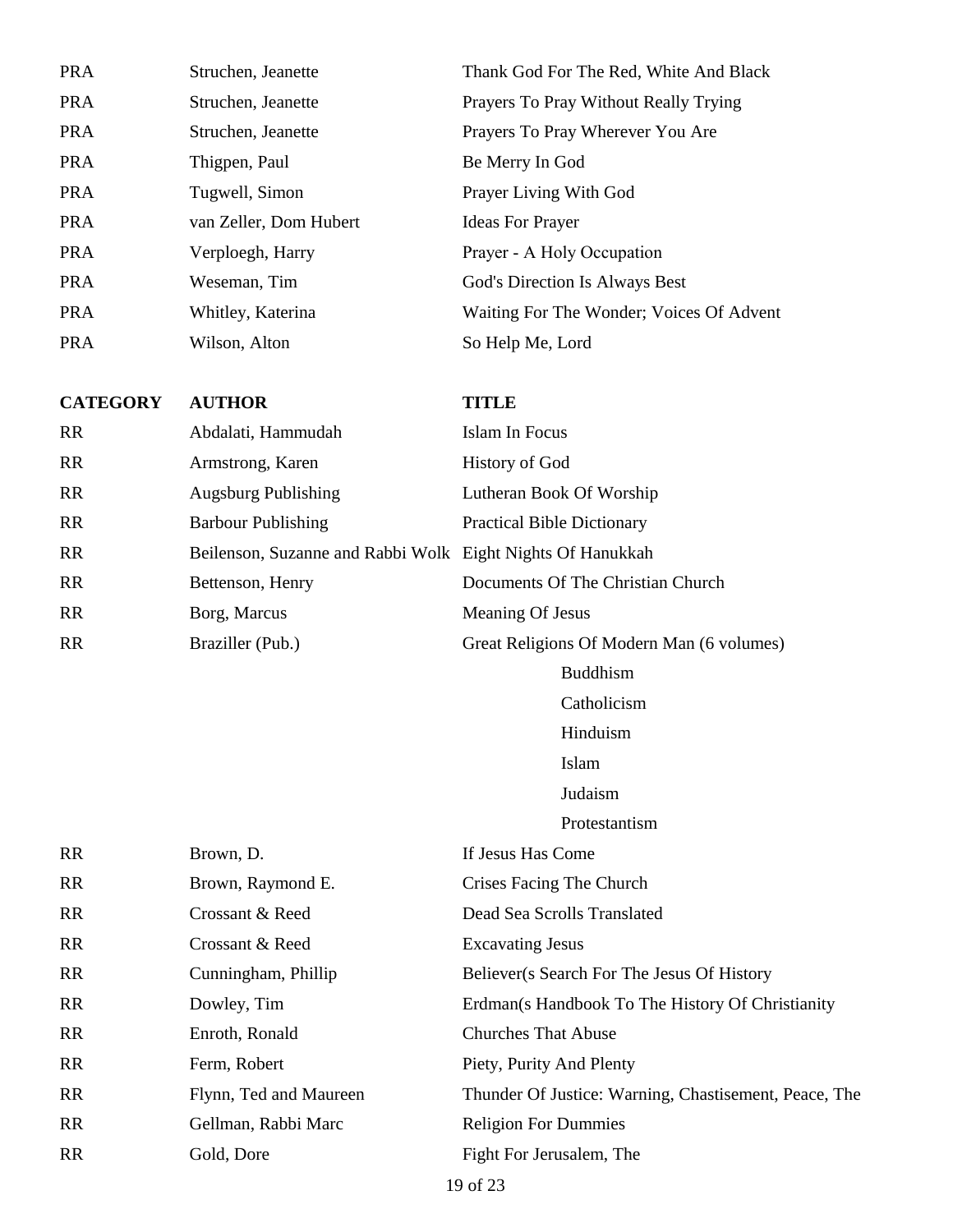| <b>PRA</b>      | Struchen, Jeanette                                         | Thank God For The Red, White And Black     |
|-----------------|------------------------------------------------------------|--------------------------------------------|
| <b>PRA</b>      | Struchen, Jeanette                                         | Prayers To Pray Without Really Trying      |
| <b>PRA</b>      | Struchen, Jeanette                                         | Prayers To Pray Wherever You Are           |
| <b>PRA</b>      | Thigpen, Paul                                              | Be Merry In God                            |
| <b>PRA</b>      | Tugwell, Simon                                             | Prayer Living With God                     |
| <b>PRA</b>      | van Zeller, Dom Hubert                                     | <b>Ideas For Prayer</b>                    |
| <b>PRA</b>      | Verploegh, Harry                                           | Prayer - A Holy Occupation                 |
| <b>PRA</b>      | Weseman, Tim                                               | God's Direction Is Always Best             |
| <b>PRA</b>      | Whitley, Katerina                                          | Waiting For The Wonder; Voices Of Advent   |
| <b>PRA</b>      | Wilson, Alton                                              | So Help Me, Lord                           |
|                 |                                                            |                                            |
| <b>CATEGORY</b> | <b>AUTHOR</b>                                              | <b>TITLE</b>                               |
| <b>RR</b>       | Abdalati, Hammudah                                         | Islam In Focus                             |
| <b>RR</b>       | Armstrong, Karen                                           | <b>History of God</b>                      |
| <b>RR</b>       | <b>Augsburg Publishing</b>                                 | Lutheran Book Of Worship                   |
| <b>RR</b>       | <b>Barbour Publishing</b>                                  | <b>Practical Bible Dictionary</b>          |
| <b>RR</b>       | Beilenson, Suzanne and Rabbi Wolk Eight Nights Of Hanukkah |                                            |
| <b>RR</b>       | Bettenson, Henry                                           | Documents Of The Christian Church          |
| <b>RR</b>       | Borg, Marcus                                               | <b>Meaning Of Jesus</b>                    |
| <b>RR</b>       | Braziller (Pub.)                                           | Great Religions Of Modern Man (6 volumes)  |
|                 |                                                            | <b>Buddhism</b>                            |
|                 |                                                            | Catholicism                                |
|                 |                                                            | Hinduism                                   |
|                 |                                                            | Islam                                      |
|                 |                                                            | Judaism                                    |
|                 |                                                            | Protestantism                              |
| <b>RR</b>       | Brown, D.                                                  | If Jesus Has Come                          |
| <b>RR</b>       | Brown, Raymond E.                                          | Crises Facing The Church                   |
| <b>RR</b>       | Crossant & Reed                                            | Dead Sea Scrolls Translated                |
| <b>RR</b>       | Crossant & Reed                                            | <b>Excavating Jesus</b>                    |
| <b>RR</b>       | Cunningham, Phillip                                        | Believer(s Search For The Jesus Of History |

RR Dowley, Tim Erdman(s Handbook To The History Of Christianity

RR Enroth, Ronald Churches That Abuse RR Ferm, Robert Piety, Purity And Plenty

RR Flynn, Ted and Maureen Thunder Of Justice: Warning, Chastisement, Peace, The RR Gellman, Rabbi Marc Religion For Dummies

RR Gold, Dore Fight For Jerusalem, The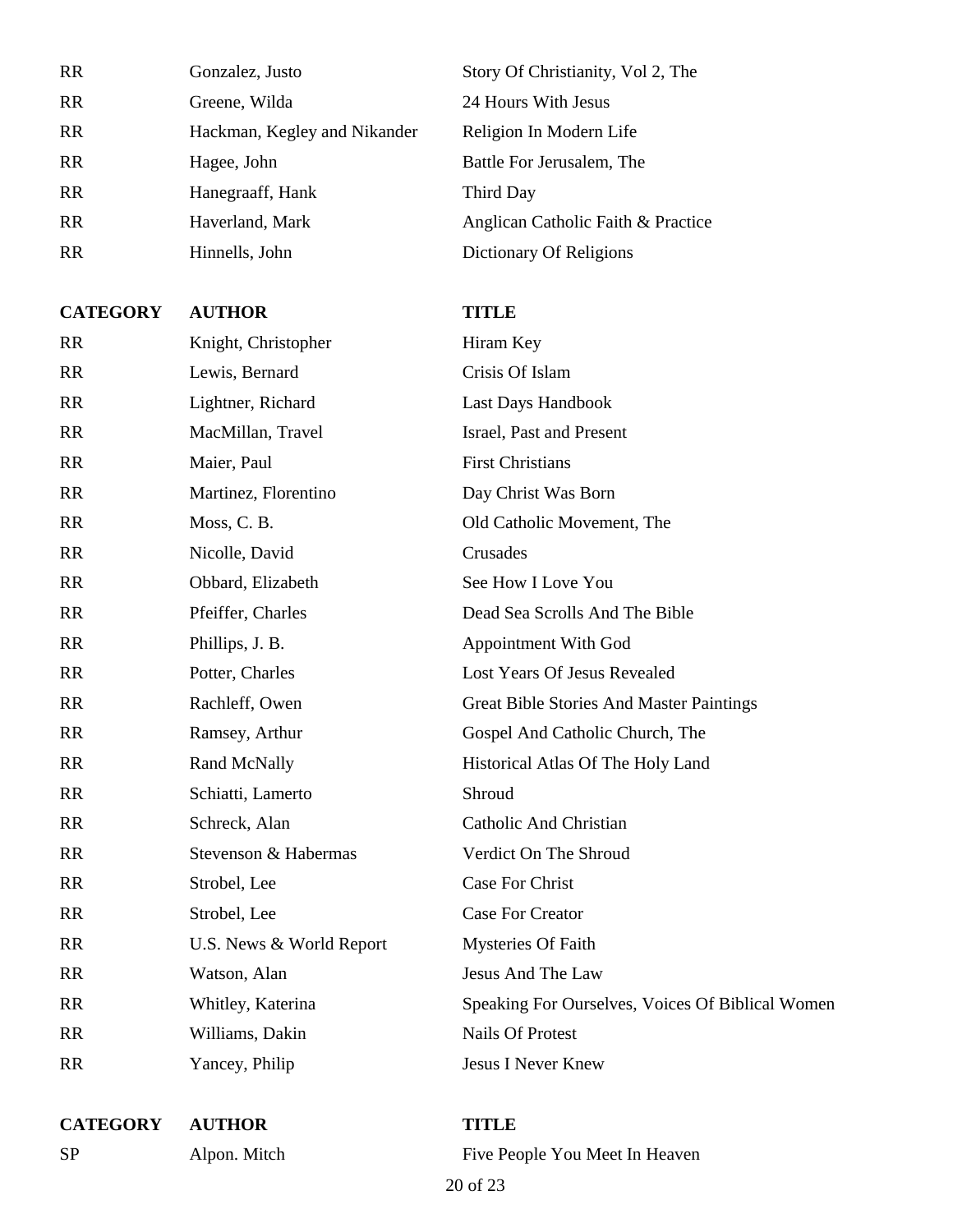| <b>RR</b> | Gonzalez, Justo              | Story Of Christianity, Vol 2, The  |
|-----------|------------------------------|------------------------------------|
| <b>RR</b> | Greene, Wilda                | 24 Hours With Jesus                |
| <b>RR</b> | Hackman, Kegley and Nikander | Religion In Modern Life            |
| <b>RR</b> | Hagee, John                  | Battle For Jerusalem, The          |
| <b>RR</b> | Hanegraaff, Hank             | Third Day                          |
| <b>RR</b> | Haverland, Mark              | Anglican Catholic Faith & Practice |
| <b>RR</b> | Hinnells, John               | Dictionary Of Religions            |

RR Knight, Christopher Hiram Key RR Lewis, Bernard Crisis Of Islam RR Lightner, Richard Last Days Handbook RR MacMillan, Travel Israel, Past and Present RR Maier, Paul First Christians RR Martinez, Florentino Day Christ Was Born RR Moss, C. B. **Old Catholic Movement**, The RR Nicolle, David Crusades RR Obbard, Elizabeth See How I Love You RR Pfeiffer, Charles Dead Sea Scrolls And The Bible RR Phillips, J. B. Appointment With God RR Potter, Charles Lost Years Of Jesus Revealed RR Rachleff, Owen Great Bible Stories And Master Paintings RR Ramsey, Arthur Gospel And Catholic Church, The RR Rand McNally Historical Atlas Of The Holy Land RR Schiatti, Lamerto Shroud RR Schreck, Alan Catholic And Christian RR Stevenson & Habermas Verdict On The Shroud RR Strobel, Lee Case For Christ RR Strobel, Lee Case For Creator RR U.S. News & World Report Mysteries Of Faith RR Watson, Alan Jesus And The Law RR Whitley, Katerina Speaking For Ourselves, Voices Of Biblical Women

RR Williams, Dakin Nails Of Protest

RR Yancey, Philip Jesus I Never Knew

**CATEGORY AUTHOR TITLE**

SP Alpon. Mitch Five People You Meet In Heaven 20 of 23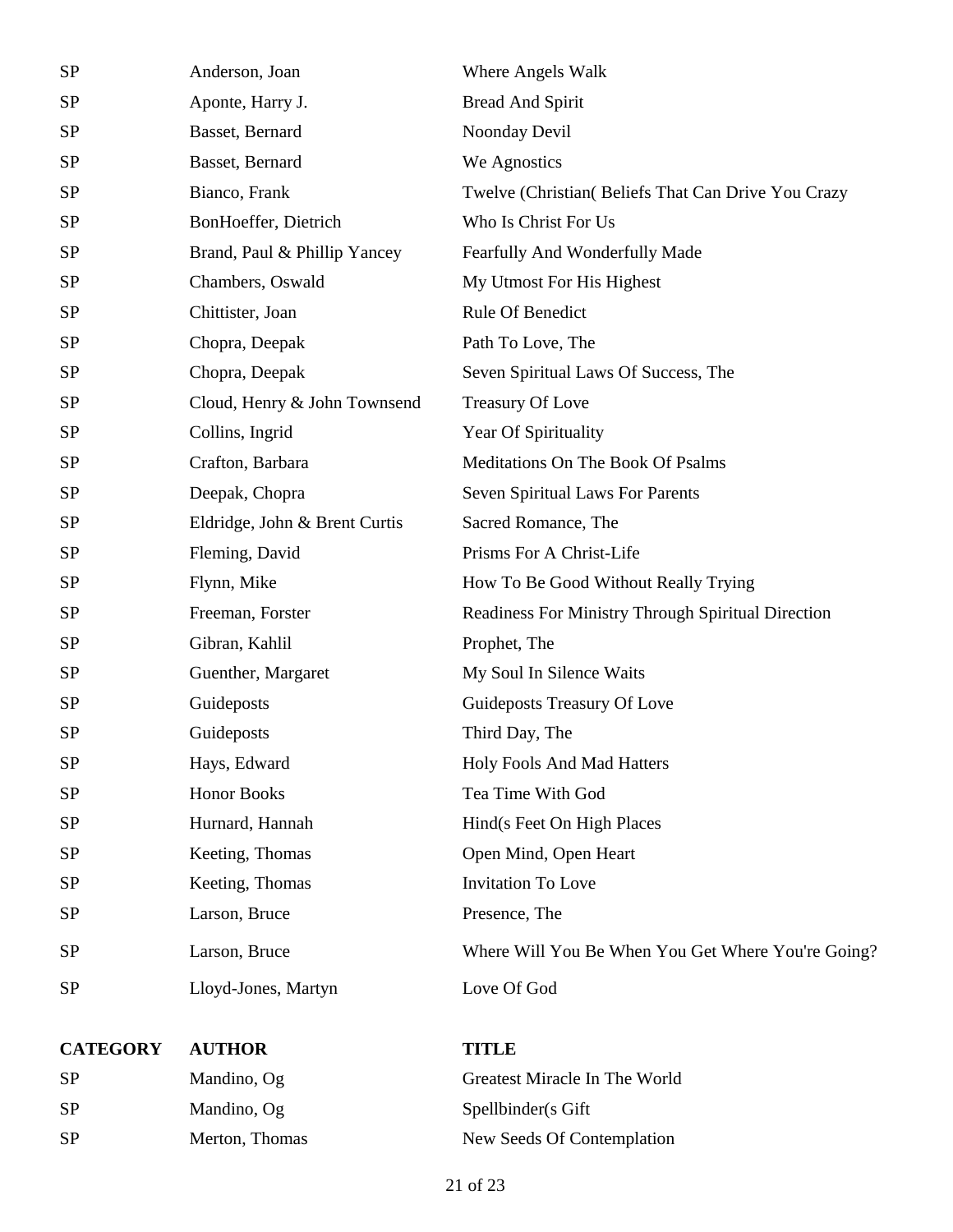| <b>SP</b>       | Anderson, Joan                | Where Angels Walk                                   |
|-----------------|-------------------------------|-----------------------------------------------------|
| <b>SP</b>       | Aponte, Harry J.              | <b>Bread And Spirit</b>                             |
| <b>SP</b>       | Basset, Bernard               | Noonday Devil                                       |
| <b>SP</b>       | Basset, Bernard               | We Agnostics                                        |
| <b>SP</b>       | Bianco, Frank                 | Twelve (Christian) Beliefs That Can Drive You Crazy |
| <b>SP</b>       | BonHoeffer, Dietrich          | Who Is Christ For Us                                |
| <b>SP</b>       | Brand, Paul & Phillip Yancey  | Fearfully And Wonderfully Made                      |
| <b>SP</b>       | Chambers, Oswald              | My Utmost For His Highest                           |
| <b>SP</b>       | Chittister, Joan              | Rule Of Benedict                                    |
| <b>SP</b>       | Chopra, Deepak                | Path To Love, The                                   |
| <b>SP</b>       | Chopra, Deepak                | Seven Spiritual Laws Of Success, The                |
| <b>SP</b>       | Cloud, Henry & John Townsend  | <b>Treasury Of Love</b>                             |
| <b>SP</b>       | Collins, Ingrid               | Year Of Spirituality                                |
| <b>SP</b>       | Crafton, Barbara              | Meditations On The Book Of Psalms                   |
| <b>SP</b>       | Deepak, Chopra                | Seven Spiritual Laws For Parents                    |
| <b>SP</b>       | Eldridge, John & Brent Curtis | Sacred Romance, The                                 |
| <b>SP</b>       | Fleming, David                | Prisms For A Christ-Life                            |
| <b>SP</b>       | Flynn, Mike                   | How To Be Good Without Really Trying                |
| <b>SP</b>       | Freeman, Forster              | Readiness For Ministry Through Spiritual Direction  |
| <b>SP</b>       | Gibran, Kahlil                | Prophet, The                                        |
| <b>SP</b>       | Guenther, Margaret            | My Soul In Silence Waits                            |
| <b>SP</b>       | Guideposts                    | Guideposts Treasury Of Love                         |
| <b>SP</b>       | Guideposts                    | Third Day, The                                      |
| <b>SP</b>       | Hays, Edward                  | Holy Fools And Mad Hatters                          |
| <b>SP</b>       | <b>Honor Books</b>            | Tea Time With God                                   |
| <b>SP</b>       | Hurnard, Hannah               | Hind(s Feet On High Places                          |
| <b>SP</b>       | Keeting, Thomas               | Open Mind, Open Heart                               |
| <b>SP</b>       | Keeting, Thomas               | Invitation To Love                                  |
| <b>SP</b>       | Larson, Bruce                 | Presence, The                                       |
| <b>SP</b>       | Larson, Bruce                 | Where Will You Be When You Get Where You're Going?  |
| <b>SP</b>       | Lloyd-Jones, Martyn           | Love Of God                                         |
| <b>CATEGORY</b> | <b>AUTHOR</b>                 | <b>TITLE</b>                                        |
| <b>SP</b>       | Mandino, Og                   | Greatest Miracle In The World                       |
| <b>SP</b>       | Mandino, Og                   | Spellbinder(s Gift                                  |

## 21 of 23

SP Merton, Thomas New Seeds Of Contemplation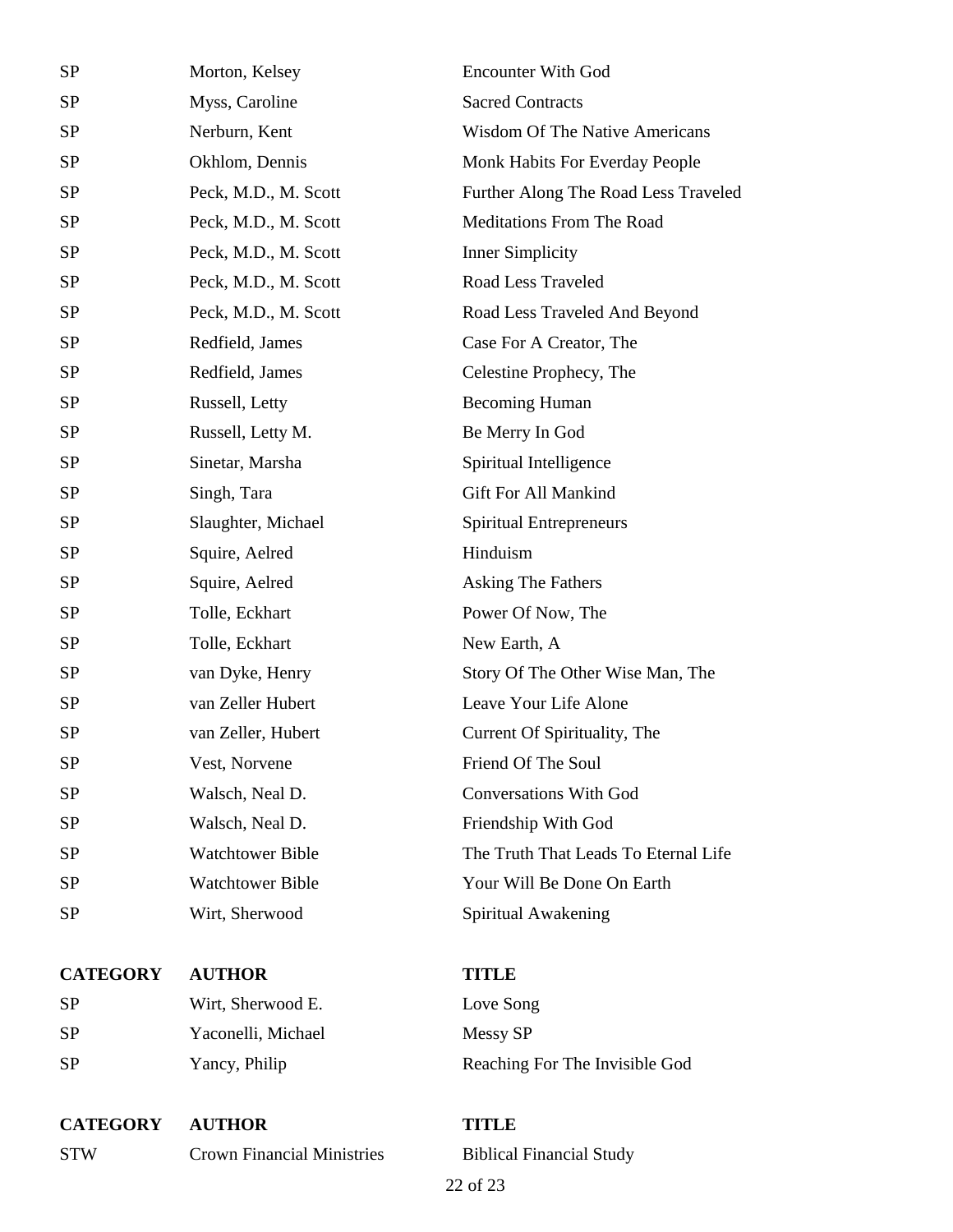| <b>SP</b>       | Morton, Kelsey                    | <b>Encounter With God</b>             |
|-----------------|-----------------------------------|---------------------------------------|
| <b>SP</b>       | Myss, Caroline                    | <b>Sacred Contracts</b>               |
| <b>SP</b>       | Nerburn, Kent                     | <b>Wisdom Of The Native Americans</b> |
| ${\rm SP}$      | Okhlom, Dennis                    | Monk Habits For Everday People        |
| <b>SP</b>       | Peck, M.D., M. Scott              | Further Along The Road Less Traveled  |
| <b>SP</b>       | Peck, M.D., M. Scott              | <b>Meditations From The Road</b>      |
| <b>SP</b>       | Peck, M.D., M. Scott              | <b>Inner Simplicity</b>               |
| <b>SP</b>       | Peck, M.D., M. Scott              | Road Less Traveled                    |
| <b>SP</b>       | Peck, M.D., M. Scott              | Road Less Traveled And Beyond         |
| <b>SP</b>       | Redfield, James                   | Case For A Creator, The               |
| <b>SP</b>       | Redfield, James                   | Celestine Prophecy, The               |
| <b>SP</b>       | Russell, Letty                    | <b>Becoming Human</b>                 |
| <b>SP</b>       | Russell, Letty M.                 | Be Merry In God                       |
| <b>SP</b>       | Sinetar, Marsha                   | Spiritual Intelligence                |
| <b>SP</b>       | Singh, Tara                       | Gift For All Mankind                  |
| <b>SP</b>       | Slaughter, Michael                | <b>Spiritual Entrepreneurs</b>        |
| <b>SP</b>       | Squire, Aelred                    | Hinduism                              |
| <b>SP</b>       | Squire, Aelred                    | Asking The Fathers                    |
| <b>SP</b>       | Tolle, Eckhart                    | Power Of Now, The                     |
| <b>SP</b>       | Tolle, Eckhart                    | New Earth, A                          |
| <b>SP</b>       | van Dyke, Henry                   | Story Of The Other Wise Man, The      |
| ${\rm SP}$      | van Zeller Hubert                 | Leave Your Life Alone                 |
| <b>SP</b>       | van Zeller, Hubert                | Current Of Spirituality, The          |
| <b>SP</b>       | Vest, Norvene                     | Friend Of The Soul                    |
| <b>SP</b>       | Walsch, Neal D.                   | <b>Conversations With God</b>         |
| <b>SP</b>       | Walsch, Neal D.                   | Friendship With God                   |
| <b>SP</b>       | <b>Watchtower Bible</b>           | The Truth That Leads To Eternal Life  |
| <b>SP</b>       | <b>Watchtower Bible</b>           | Your Will Be Done On Earth            |
| <b>SP</b>       | Wirt, Sherwood                    | Spiritual Awakening                   |
| <b>CATEGORY</b> | <b>AUTHOR</b>                     | <b>TITLE</b>                          |
| <b>SP</b>       | Wirt, Sherwood E.                 | Love Song                             |
| <b>SP</b>       | Yaconelli, Michael                | Messy SP                              |
| <b>SP</b>       | Yancy, Philip                     | Reaching For The Invisible God        |
| <b>CATEGORY</b> | <b>AUTHOR</b>                     | TITLE                                 |
| <b>STW</b>      | <b>Crown Financial Ministries</b> | <b>Biblical Financial Study</b>       |